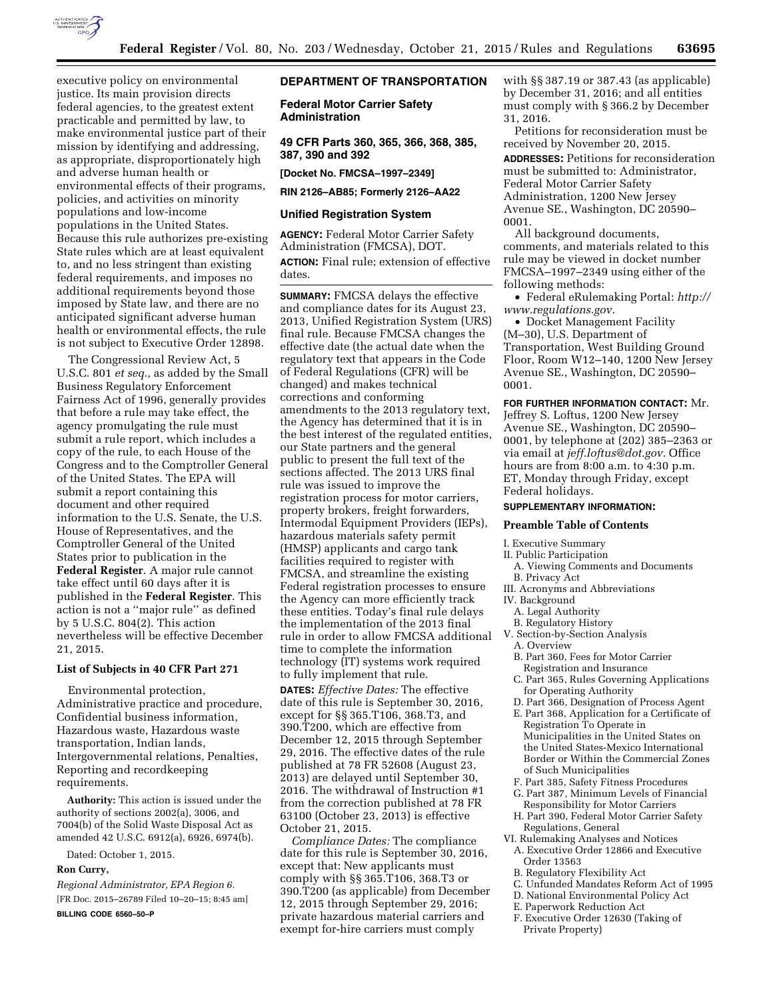

executive policy on environmental justice. Its main provision directs federal agencies, to the greatest extent practicable and permitted by law, to make environmental justice part of their mission by identifying and addressing, as appropriate, disproportionately high and adverse human health or environmental effects of their programs, policies, and activities on minority populations and low-income populations in the United States. Because this rule authorizes pre-existing State rules which are at least equivalent to, and no less stringent than existing federal requirements, and imposes no additional requirements beyond those imposed by State law, and there are no anticipated significant adverse human health or environmental effects, the rule is not subject to Executive Order 12898.

The Congressional Review Act, 5 U.S.C. 801 *et seq.,* as added by the Small Business Regulatory Enforcement Fairness Act of 1996, generally provides that before a rule may take effect, the agency promulgating the rule must submit a rule report, which includes a copy of the rule, to each House of the Congress and to the Comptroller General of the United States. The EPA will submit a report containing this document and other required information to the U.S. Senate, the U.S. House of Representatives, and the Comptroller General of the United States prior to publication in the **Federal Register**. A major rule cannot take effect until 60 days after it is published in the **Federal Register**. This action is not a ''major rule'' as defined by 5 U.S.C. 804(2). This action nevertheless will be effective December 21, 2015.

### **List of Subjects in 40 CFR Part 271**

Environmental protection, Administrative practice and procedure, Confidential business information, Hazardous waste, Hazardous waste transportation, Indian lands, Intergovernmental relations, Penalties, Reporting and recordkeeping requirements.

**Authority:** This action is issued under the authority of sections 2002(a), 3006, and 7004(b) of the Solid Waste Disposal Act as amended 42 U.S.C. 6912(a), 6926, 6974(b).

Dated: October 1, 2015.

# **Ron Curry,**

*Regional Administrator, EPA Region 6.*  [FR Doc. 2015–26789 Filed 10–20–15; 8:45 am] **BILLING CODE 6560–50–P** 

# **DEPARTMENT OF TRANSPORTATION**

**Federal Motor Carrier Safety Administration** 

**49 CFR Parts 360, 365, 366, 368, 385, 387, 390 and 392** 

**[Docket No. FMCSA–1997–2349]** 

**RIN 2126–AB85; Formerly 2126–AA22** 

# **Unified Registration System**

**AGENCY:** Federal Motor Carrier Safety Administration (FMCSA), DOT. **ACTION:** Final rule; extension of effective dates.

**SUMMARY:** FMCSA delays the effective and compliance dates for its August 23, 2013, Unified Registration System (URS) final rule. Because FMCSA changes the effective date (the actual date when the regulatory text that appears in the Code of Federal Regulations (CFR) will be changed) and makes technical corrections and conforming amendments to the 2013 regulatory text, the Agency has determined that it is in the best interest of the regulated entities, our State partners and the general public to present the full text of the sections affected. The 2013 URS final rule was issued to improve the registration process for motor carriers, property brokers, freight forwarders, Intermodal Equipment Providers (IEPs), hazardous materials safety permit (HMSP) applicants and cargo tank facilities required to register with FMCSA, and streamline the existing Federal registration processes to ensure the Agency can more efficiently track these entities. Today's final rule delays the implementation of the 2013 final rule in order to allow FMCSA additional time to complete the information technology (IT) systems work required to fully implement that rule.

**DATES:** *Effective Dates:* The effective date of this rule is September 30, 2016, except for §§ 365.T106, 368.T3, and 390.T200, which are effective from December 12, 2015 through September 29, 2016. The effective dates of the rule published at 78 FR 52608 (August 23, 2013) are delayed until September 30, 2016. The withdrawal of Instruction #1 from the correction published at 78 FR 63100 (October 23, 2013) is effective October 21, 2015.

*Compliance Dates:* The compliance date for this rule is September 30, 2016, except that: New applicants must comply with §§ 365.T106, 368.T3 or 390.T200 (as applicable) from December 12, 2015 through September 29, 2016; private hazardous material carriers and exempt for-hire carriers must comply

with §§ 387.19 or 387.43 (as applicable) by December 31, 2016; and all entities must comply with § 366.2 by December 31, 2016.

Petitions for reconsideration must be received by November 20, 2015. **ADDRESSES:** Petitions for reconsideration must be submitted to: Administrator, Federal Motor Carrier Safety Administration, 1200 New Jersey Avenue SE., Washington, DC 20590– 0001.

All background documents, comments, and materials related to this rule may be viewed in docket number FMCSA–1997–2349 using either of the following methods:

• Federal eRulemaking Portal: *[http://](http://www.regulations.gov) [www.regulations.gov.](http://www.regulations.gov)* 

• Docket Management Facility (M–30), U.S. Department of Transportation, West Building Ground Floor, Room W12–140, 1200 New Jersey Avenue SE., Washington, DC 20590– 0001.

**FOR FURTHER INFORMATION CONTACT:** Mr.

Jeffrey S. Loftus, 1200 New Jersey Avenue SE., Washington, DC 20590– 0001, by telephone at (202) 385–2363 or via email at *[jeff.loftus@dot.gov.](mailto:jeff.loftus@dot.gov)* Office hours are from 8:00 a.m. to 4:30 p.m. ET, Monday through Friday, except Federal holidays.

#### **SUPPLEMENTARY INFORMATION:**

### **Preamble Table of Contents**

I. Executive Summary

- II. Public Participation
	- A. Viewing Comments and Documents
	- B. Privacy Act
- III. Acronyms and Abbreviations
- IV. Background
	- A. Legal Authority
	- B. Regulatory History
- V. Section-by-Section Analysis
- A. Overview
- B. Part 360, Fees for Motor Carrier Registration and Insurance
- C. Part 365, Rules Governing Applications for Operating Authority
- D. Part 366, Designation of Process Agent
- E. Part 368, Application for a Certificate of Registration To Operate in Municipalities in the United States on the United States-Mexico International Border or Within the Commercial Zones of Such Municipalities
- F. Part 385, Safety Fitness Procedures
- G. Part 387, Minimum Levels of Financial Responsibility for Motor Carriers
- H. Part 390, Federal Motor Carrier Safety Regulations, General

#### VI. Rulemaking Analyses and Notices A. Executive Order 12866 and Executive

- Order 13563
- B. Regulatory Flexibility Act
- C. Unfunded Mandates Reform Act of 1995
- D. National Environmental Policy Act
- E. Paperwork Reduction Act
- F. Executive Order 12630 (Taking of Private Property)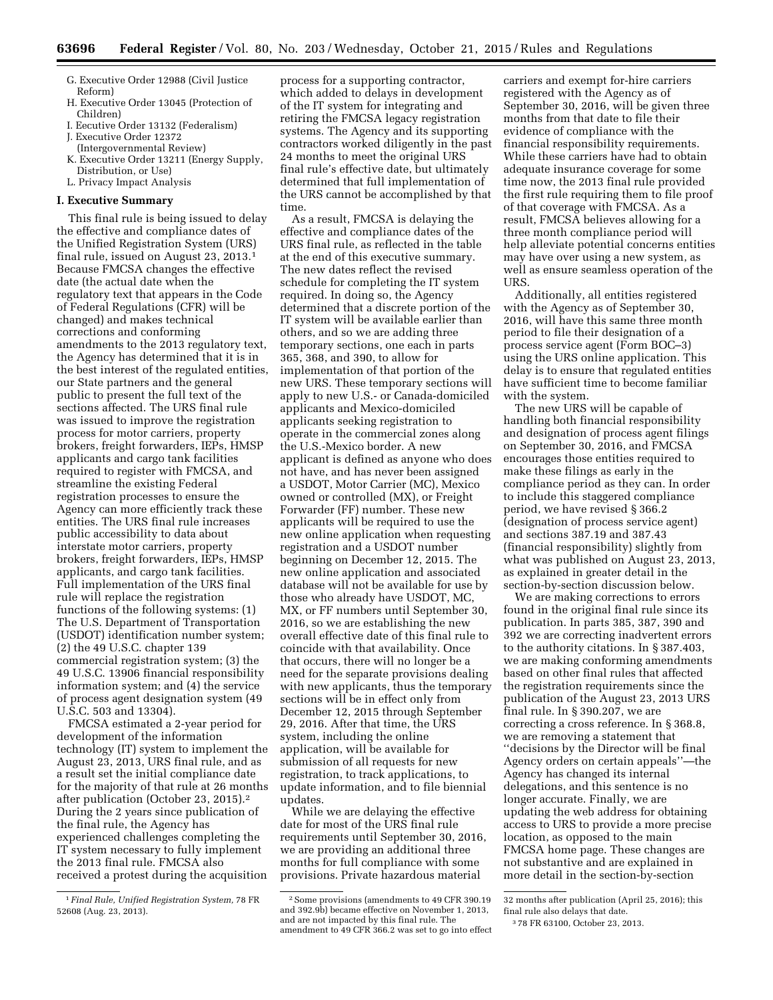- G. Executive Order 12988 (Civil Justice Reform)
- H. Executive Order 13045 (Protection of Children)
- I. Eecutive Order 13132 (Federalism)
- J. Executive Order 12372
- (Intergovernmental Review)
- K. Executive Order 13211 (Energy Supply, Distribution, or Use)
- L. Privacy Impact Analysis

# **I. Executive Summary**

This final rule is being issued to delay the effective and compliance dates of the Unified Registration System (URS) final rule, issued on August 23, 2013.1 Because FMCSA changes the effective date (the actual date when the regulatory text that appears in the Code of Federal Regulations (CFR) will be changed) and makes technical corrections and conforming amendments to the 2013 regulatory text, the Agency has determined that it is in the best interest of the regulated entities, our State partners and the general public to present the full text of the sections affected. The URS final rule was issued to improve the registration process for motor carriers, property brokers, freight forwarders, IEPs, HMSP applicants and cargo tank facilities required to register with FMCSA, and streamline the existing Federal registration processes to ensure the Agency can more efficiently track these entities. The URS final rule increases public accessibility to data about interstate motor carriers, property brokers, freight forwarders, IEPs, HMSP applicants, and cargo tank facilities. Full implementation of the URS final rule will replace the registration functions of the following systems: (1) The U.S. Department of Transportation (USDOT) identification number system; (2) the 49 U.S.C. chapter 139 commercial registration system; (3) the 49 U.S.C. 13906 financial responsibility information system; and (4) the service of process agent designation system (49 U.S.C. 503 and 13304).

FMCSA estimated a 2-year period for development of the information technology (IT) system to implement the August 23, 2013, URS final rule, and as a result set the initial compliance date for the majority of that rule at 26 months after publication (October 23, 2015).2 During the 2 years since publication of the final rule, the Agency has experienced challenges completing the IT system necessary to fully implement the 2013 final rule. FMCSA also received a protest during the acquisition

process for a supporting contractor, which added to delays in development of the IT system for integrating and retiring the FMCSA legacy registration systems. The Agency and its supporting contractors worked diligently in the past 24 months to meet the original URS final rule's effective date, but ultimately determined that full implementation of the URS cannot be accomplished by that time.

As a result, FMCSA is delaying the effective and compliance dates of the URS final rule, as reflected in the table at the end of this executive summary. The new dates reflect the revised schedule for completing the IT system required. In doing so, the Agency determined that a discrete portion of the IT system will be available earlier than others, and so we are adding three temporary sections, one each in parts 365, 368, and 390, to allow for implementation of that portion of the new URS. These temporary sections will apply to new U.S.- or Canada-domiciled applicants and Mexico-domiciled applicants seeking registration to operate in the commercial zones along the U.S.-Mexico border. A new applicant is defined as anyone who does not have, and has never been assigned a USDOT, Motor Carrier (MC), Mexico owned or controlled (MX), or Freight Forwarder (FF) number. These new applicants will be required to use the new online application when requesting registration and a USDOT number beginning on December 12, 2015. The new online application and associated database will not be available for use by those who already have USDOT, MC, MX, or FF numbers until September 30, 2016, so we are establishing the new overall effective date of this final rule to coincide with that availability. Once that occurs, there will no longer be a need for the separate provisions dealing with new applicants, thus the temporary sections will be in effect only from December 12, 2015 through September 29, 2016. After that time, the URS system, including the online application, will be available for submission of all requests for new registration, to track applications, to update information, and to file biennial updates.

While we are delaying the effective date for most of the URS final rule requirements until September 30, 2016, we are providing an additional three months for full compliance with some provisions. Private hazardous material

carriers and exempt for-hire carriers registered with the Agency as of September 30, 2016, will be given three months from that date to file their evidence of compliance with the financial responsibility requirements. While these carriers have had to obtain adequate insurance coverage for some time now, the 2013 final rule provided the first rule requiring them to file proof of that coverage with FMCSA. As a result, FMCSA believes allowing for a three month compliance period will help alleviate potential concerns entities may have over using a new system, as well as ensure seamless operation of the URS.

Additionally, all entities registered with the Agency as of September 30, 2016, will have this same three month period to file their designation of a process service agent (Form BOC–3) using the URS online application. This delay is to ensure that regulated entities have sufficient time to become familiar with the system.

The new URS will be capable of handling both financial responsibility and designation of process agent filings on September 30, 2016, and FMCSA encourages those entities required to make these filings as early in the compliance period as they can. In order to include this staggered compliance period, we have revised § 366.2 (designation of process service agent) and sections 387.19 and 387.43 (financial responsibility) slightly from what was published on August 23, 2013, as explained in greater detail in the section-by-section discussion below.

We are making corrections to errors found in the original final rule since its publication. In parts 385, 387, 390 and 392 we are correcting inadvertent errors to the authority citations. In § 387.403, we are making conforming amendments based on other final rules that affected the registration requirements since the publication of the August 23, 2013 URS final rule. In § 390.207, we are correcting a cross reference. In § 368.8, we are removing a statement that ''decisions by the Director will be final Agency orders on certain appeals''—the Agency has changed its internal delegations, and this sentence is no longer accurate. Finally, we are updating the web address for obtaining access to URS to provide a more precise location, as opposed to the main FMCSA home page. These changes are not substantive and are explained in more detail in the section-by-section

<sup>1</sup> *Final Rule, Unified Registration System,* 78 FR 52608 (Aug. 23, 2013).

<sup>2</sup>Some provisions (amendments to 49 CFR 390.19 and 392.9b) became effective on November 1, 2013, and are not impacted by this final rule. The amendment to 49 CFR 366.2 was set to go into effect

<sup>32</sup> months after publication (April 25, 2016); this final rule also delays that date.

<sup>3</sup> 78 FR 63100, October 23, 2013.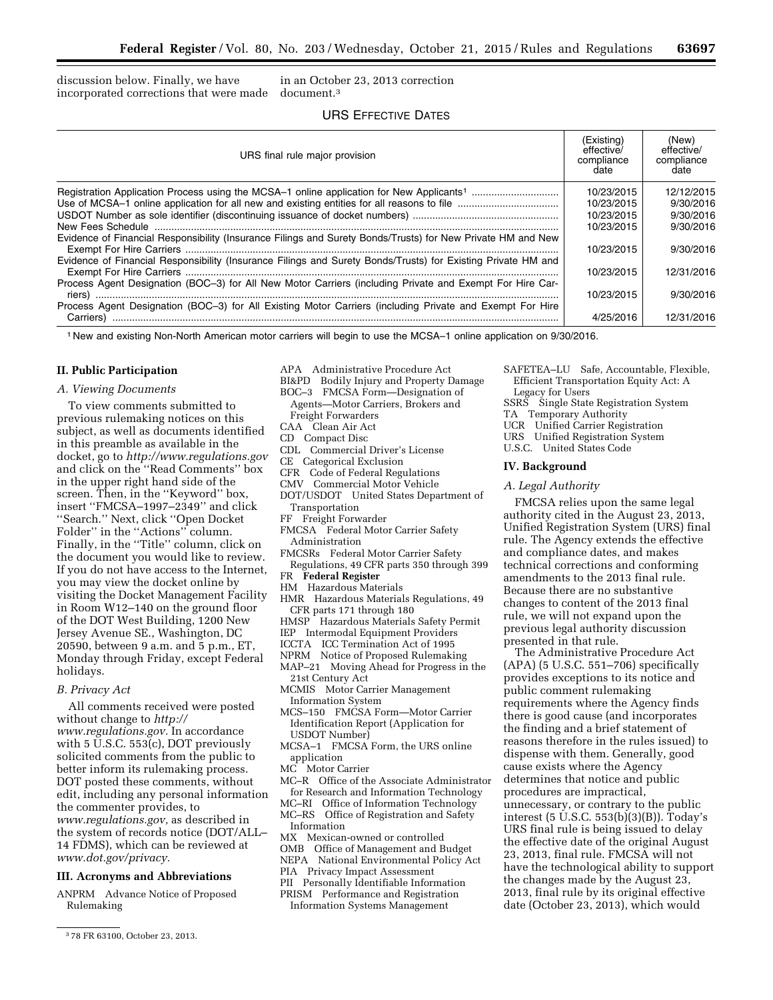discussion below. Finally, we have incorporated corrections that were made

in an October 23, 2013 correction document.3

# URS EFFECTIVE DATES

| URS final rule major provision                                                                               | (Existing)<br>effective/<br>compliance<br>date | (New)<br>effective/<br>compliance<br>date |
|--------------------------------------------------------------------------------------------------------------|------------------------------------------------|-------------------------------------------|
|                                                                                                              | 10/23/2015                                     | 12/12/2015                                |
|                                                                                                              | 10/23/2015                                     | 9/30/2016                                 |
|                                                                                                              | 10/23/2015                                     | 9/30/2016                                 |
|                                                                                                              | 10/23/2015                                     | 9/30/2016                                 |
| Evidence of Financial Responsibility (Insurance Filings and Surety Bonds/Trusts) for New Private HM and New  | 10/23/2015                                     | 9/30/2016                                 |
| Evidence of Financial Responsibility (Insurance Filings and Surety Bonds/Trusts) for Existing Private HM and | 10/23/2015                                     | 12/31/2016                                |
| Process Agent Designation (BOC-3) for All New Motor Carriers (including Private and Exempt For Hire Car-     | 10/23/2015                                     | 9/30/2016                                 |
| Process Agent Designation (BOC-3) for All Existing Motor Carriers (including Private and Exempt For Hire     | 4/25/2016                                      | 12/31/2016                                |

1 New and existing Non-North American motor carriers will begin to use the MCSA–1 online application on 9/30/2016.

#### **II. Public Participation**

### *A. Viewing Documents*

To view comments submitted to previous rulemaking notices on this subject, as well as documents identified in this preamble as available in the docket, go to *<http://www.regulations.gov>*  and click on the ''Read Comments'' box in the upper right hand side of the screen. Then, in the ''Keyword'' box, insert ''FMCSA–1997–2349'' and click ''Search.'' Next, click ''Open Docket Folder'' in the ''Actions'' column. Finally, in the ''Title'' column, click on the document you would like to review. If you do not have access to the Internet, you may view the docket online by visiting the Docket Management Facility in Room W12–140 on the ground floor of the DOT West Building, 1200 New Jersey Avenue SE., Washington, DC 20590, between 9 a.m. and 5 p.m., ET, Monday through Friday, except Federal holidays.

## *B. Privacy Act*

All comments received were posted without change to *[http://](http://www.regulations.gov) [www.regulations.gov.](http://www.regulations.gov)* In accordance with 5 U.S.C. 553(c), DOT previously solicited comments from the public to better inform its rulemaking process. DOT posted these comments, without edit, including any personal information the commenter provides, to *[www.regulations.gov,](http://www.regulations.gov)* as described in the system of records notice (DOT/ALL– 14 FDMS), which can be reviewed at *[www.dot.gov/privacy.](http://www.dot.gov/privacy)* 

#### **III. Acronyms and Abbreviations**

- ANPRM Advance Notice of Proposed Rulemaking
- 3 78 FR 63100, October 23, 2013.

APA Administrative Procedure Act BI&PD Bodily Injury and Property Damage BOC–3 FMCSA Form—Designation of Agents—Motor Carriers, Brokers and Freight Forwarders CAA Clean Air Act

- CD Compact Disc
- CDL Commercial Driver's License
- CE Categorical Exclusion
- CFR Code of Federal Regulations
- CMV Commercial Motor Vehicle
- DOT/USDOT United States Department of
- **Transportation**
- FF Freight Forwarder
- FMCSA Federal Motor Carrier Safety Administration
- FMCSRs Federal Motor Carrier Safety
- Regulations, 49 CFR parts 350 through 399 FR **Federal Register**
- HM Hazardous Materials
- HMR Hazardous Materials Regulations, 49 CFR parts 171 through 180
- HMSP Hazardous Materials Safety Permit
- IEP Intermodal Equipment Providers
- ICCTA ICC Termination Act of 1995
- NPRM Notice of Proposed Rulemaking
- MAP–21 Moving Ahead for Progress in the 21st Century Act
- MCMIS Motor Carrier Management Information System
- MCS–150 FMCSA Form—Motor Carrier Identification Report (Application for USDOT Number)
- MCSA–1 FMCSA Form, the URS online application
- MC Motor Carrier
- MC–R Office of the Associate Administrator for Research and Information Technology
- MC–RI Office of Information Technology MC–RS Office of Registration and Safety Information
- MX Mexican-owned or controlled OMB Office of Management and Budget
- NEPA National Environmental Policy Act
- PIA Privacy Impact Assessment
- PII Personally Identifiable Information
- PRISM Performance and Registration
- Information Systems Management
- SAFETEA–LU Safe, Accountable, Flexible, Efficient Transportation Equity Act: A
- Legacy for Users SSRS Single State Registration System
- TA Temporary Authority
- 
- UCR Unified Carrier Registration
- URS Unified Registration System
- U.S.C. United States Code

# **IV. Background**

# *A. Legal Authority*

FMCSA relies upon the same legal authority cited in the August 23, 2013, Unified Registration System (URS) final rule. The Agency extends the effective and compliance dates, and makes technical corrections and conforming amendments to the 2013 final rule. Because there are no substantive changes to content of the 2013 final rule, we will not expand upon the previous legal authority discussion presented in that rule.

The Administrative Procedure Act (APA) (5 U.S.C. 551–706) specifically provides exceptions to its notice and public comment rulemaking requirements where the Agency finds there is good cause (and incorporates the finding and a brief statement of reasons therefore in the rules issued) to dispense with them. Generally, good cause exists where the Agency determines that notice and public procedures are impractical, unnecessary, or contrary to the public interest (5 U.S.C. 553(b)(3)(B)). Today's URS final rule is being issued to delay the effective date of the original August 23, 2013, final rule. FMCSA will not have the technological ability to support the changes made by the August 23, 2013, final rule by its original effective date (October 23, 2013), which would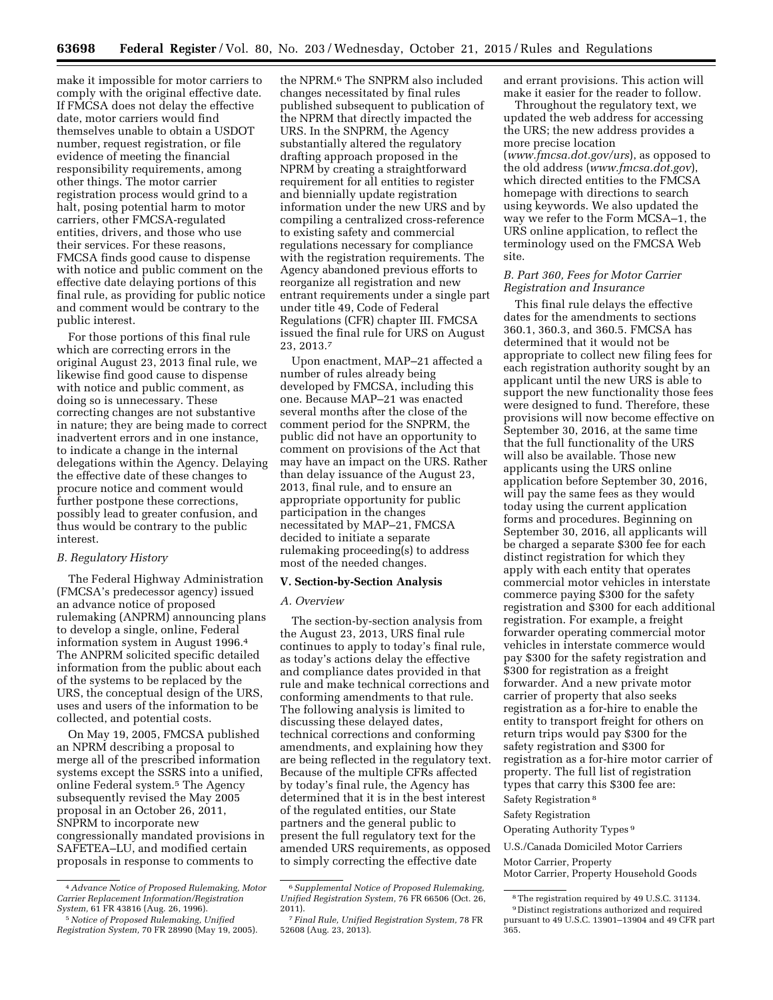make it impossible for motor carriers to comply with the original effective date. If FMCSA does not delay the effective date, motor carriers would find themselves unable to obtain a USDOT number, request registration, or file evidence of meeting the financial responsibility requirements, among other things. The motor carrier registration process would grind to a halt, posing potential harm to motor carriers, other FMCSA-regulated entities, drivers, and those who use their services. For these reasons, FMCSA finds good cause to dispense with notice and public comment on the effective date delaying portions of this final rule, as providing for public notice and comment would be contrary to the public interest.

For those portions of this final rule which are correcting errors in the original August 23, 2013 final rule, we likewise find good cause to dispense with notice and public comment, as doing so is unnecessary. These correcting changes are not substantive in nature; they are being made to correct inadvertent errors and in one instance, to indicate a change in the internal delegations within the Agency. Delaying the effective date of these changes to procure notice and comment would further postpone these corrections, possibly lead to greater confusion, and thus would be contrary to the public interest.

#### *B. Regulatory History*

The Federal Highway Administration (FMCSA's predecessor agency) issued an advance notice of proposed rulemaking (ANPRM) announcing plans to develop a single, online, Federal information system in August 1996.4 The ANPRM solicited specific detailed information from the public about each of the systems to be replaced by the URS, the conceptual design of the URS, uses and users of the information to be collected, and potential costs.

On May 19, 2005, FMCSA published an NPRM describing a proposal to merge all of the prescribed information systems except the SSRS into a unified, online Federal system.5 The Agency subsequently revised the May 2005 proposal in an October 26, 2011, SNPRM to incorporate new congressionally mandated provisions in SAFETEA–LU, and modified certain proposals in response to comments to

the NPRM.6 The SNPRM also included changes necessitated by final rules published subsequent to publication of the NPRM that directly impacted the URS. In the SNPRM, the Agency substantially altered the regulatory drafting approach proposed in the NPRM by creating a straightforward requirement for all entities to register and biennially update registration information under the new URS and by compiling a centralized cross-reference to existing safety and commercial regulations necessary for compliance with the registration requirements. The Agency abandoned previous efforts to reorganize all registration and new entrant requirements under a single part under title 49, Code of Federal Regulations (CFR) chapter III. FMCSA issued the final rule for URS on August 23, 2013.7

Upon enactment, MAP–21 affected a number of rules already being developed by FMCSA, including this one. Because MAP–21 was enacted several months after the close of the comment period for the SNPRM, the public did not have an opportunity to comment on provisions of the Act that may have an impact on the URS. Rather than delay issuance of the August 23, 2013, final rule, and to ensure an appropriate opportunity for public participation in the changes necessitated by MAP–21, FMCSA decided to initiate a separate rulemaking proceeding(s) to address most of the needed changes.

# **V. Section-by-Section Analysis**

#### *A. Overview*

The section-by-section analysis from the August 23, 2013, URS final rule continues to apply to today's final rule, as today's actions delay the effective and compliance dates provided in that rule and make technical corrections and conforming amendments to that rule. The following analysis is limited to discussing these delayed dates, technical corrections and conforming amendments, and explaining how they are being reflected in the regulatory text. Because of the multiple CFRs affected by today's final rule, the Agency has determined that it is in the best interest of the regulated entities, our State partners and the general public to present the full regulatory text for the amended URS requirements, as opposed to simply correcting the effective date

and errant provisions. This action will make it easier for the reader to follow.

Throughout the regulatory text, we updated the web address for accessing the URS; the new address provides a more precise location (*[www.fmcsa.dot.gov/urs](http://www.fmcsa.dot.gov/urs)*), as opposed to the old address (*[www.fmcsa.dot.gov](http://www.fmcsa.dot.gov)*), which directed entities to the FMCSA homepage with directions to search using keywords. We also updated the way we refer to the Form MCSA–1, the URS online application, to reflect the terminology used on the FMCSA Web site.

# *B. Part 360, Fees for Motor Carrier Registration and Insurance*

This final rule delays the effective dates for the amendments to sections 360.1, 360.3, and 360.5. FMCSA has determined that it would not be appropriate to collect new filing fees for each registration authority sought by an applicant until the new URS is able to support the new functionality those fees were designed to fund. Therefore, these provisions will now become effective on September 30, 2016, at the same time that the full functionality of the URS will also be available. Those new applicants using the URS online application before September 30, 2016, will pay the same fees as they would today using the current application forms and procedures. Beginning on September 30, 2016, all applicants will be charged a separate \$300 fee for each distinct registration for which they apply with each entity that operates commercial motor vehicles in interstate commerce paying \$300 for the safety registration and \$300 for each additional registration. For example, a freight forwarder operating commercial motor vehicles in interstate commerce would pay \$300 for the safety registration and \$300 for registration as a freight forwarder. And a new private motor carrier of property that also seeks registration as a for-hire to enable the entity to transport freight for others on return trips would pay \$300 for the safety registration and \$300 for registration as a for-hire motor carrier of property. The full list of registration types that carry this \$300 fee are:

Safety Registration 8 Safety Registration

Operating Authority Types 9

U.S./Canada Domiciled Motor Carriers

Motor Carrier, Property Motor Carrier, Property Household Goods

<sup>4</sup>*Advance Notice of Proposed Rulemaking, Motor Carrier Replacement Information/Registration System,* 61 FR 43816 (Aug. 26, 1996).

<sup>5</sup>*Notice of Proposed Rulemaking, Unified Registration System,* 70 FR 28990 (May 19, 2005).

<sup>6</sup>*Supplemental Notice of Proposed Rulemaking, Unified Registration System,* 76 FR 66506 (Oct. 26, 2011).

<sup>7</sup> *Final Rule, Unified Registration System,* 78 FR 52608 (Aug. 23, 2013).

<sup>8</sup>The registration required by 49 U.S.C. 31134.

<sup>9</sup> Distinct registrations authorized and required pursuant to 49 U.S.C. 13901–13904 and 49 CFR part .<br>365.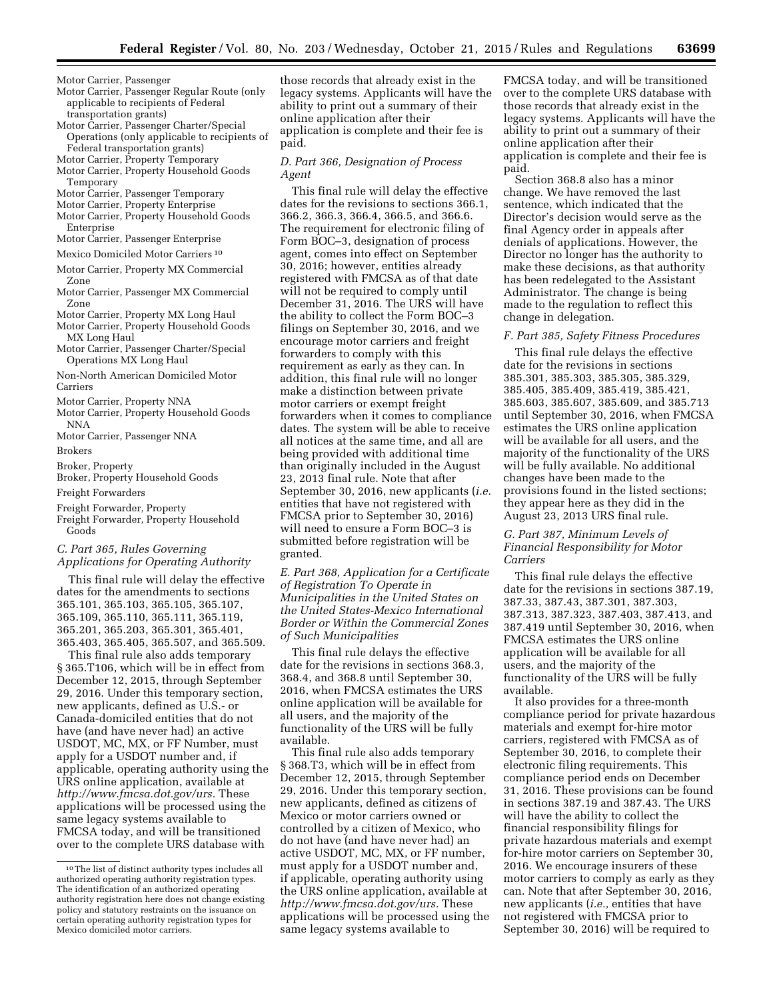Motor Carrier, Passenger

- Motor Carrier, Passenger Regular Route (only applicable to recipients of Federal transportation grants)
- Motor Carrier, Passenger Charter/Special Operations (only applicable to recipients of Federal transportation grants)
- Motor Carrier, Property Temporary
- Motor Carrier, Property Household Goods Temporary
- Motor Carrier, Passenger Temporary
- Motor Carrier, Property Enterprise Motor Carrier, Property Household Goods Enterprise
- Motor Carrier, Passenger Enterprise
- Mexico Domiciled Motor Carriers 10
- Motor Carrier, Property MX Commercial Zone
- Motor Carrier, Passenger MX Commercial Zone
- Motor Carrier, Property MX Long Haul
- Motor Carrier, Property Household Goods MX Long Haul
- Motor Carrier, Passenger Charter/Special Operations MX Long Haul
- Non-North American Domiciled Motor Carriers
- Motor Carrier, Property NNA
- Motor Carrier, Property Household Goods NNA
- Motor Carrier, Passenger NNA
- Brokers

Broker, Property

Broker, Property Household Goods

Freight Forwarders

# Freight Forwarder, Property

Freight Forwarder, Property Household Goods

# *C. Part 365, Rules Governing Applications for Operating Authority*

This final rule will delay the effective dates for the amendments to sections 365.101, 365.103, 365.105, 365.107, 365.109, 365.110, 365.111, 365.119, 365.201, 365.203, 365.301, 365.401, 365.403, 365.405, 365.507, and 365.509.

This final rule also adds temporary § 365.T106, which will be in effect from December 12, 2015, through September 29, 2016. Under this temporary section, new applicants, defined as U.S.- or Canada-domiciled entities that do not have (and have never had) an active USDOT, MC, MX, or FF Number, must apply for a USDOT number and, if applicable, operating authority using the URS online application, available at *[http://www.fmcsa.dot.gov/urs.](http://www.fmcsa.dot.gov/urs)* These applications will be processed using the same legacy systems available to FMCSA today, and will be transitioned over to the complete URS database with

those records that already exist in the legacy systems. Applicants will have the ability to print out a summary of their online application after their application is complete and their fee is paid.

## *D. Part 366, Designation of Process Agent*

This final rule will delay the effective dates for the revisions to sections 366.1, 366.2, 366.3, 366.4, 366.5, and 366.6. The requirement for electronic filing of Form BOC–3, designation of process agent, comes into effect on September 30, 2016; however, entities already registered with FMCSA as of that date will not be required to comply until December 31, 2016. The URS will have the ability to collect the Form BOC–3 filings on September 30, 2016, and we encourage motor carriers and freight forwarders to comply with this requirement as early as they can. In addition, this final rule will no longer make a distinction between private motor carriers or exempt freight forwarders when it comes to compliance dates. The system will be able to receive all notices at the same time, and all are being provided with additional time than originally included in the August 23, 2013 final rule. Note that after September 30, 2016, new applicants (*i.e.*  entities that have not registered with FMCSA prior to September 30, 2016) will need to ensure a Form BOC–3 is submitted before registration will be granted.

*E. Part 368, Application for a Certificate of Registration To Operate in Municipalities in the United States on the United States-Mexico International Border or Within the Commercial Zones of Such Municipalities* 

This final rule delays the effective date for the revisions in sections 368.3, 368.4, and 368.8 until September 30, 2016, when FMCSA estimates the URS online application will be available for all users, and the majority of the functionality of the URS will be fully available.

This final rule also adds temporary § 368.T3, which will be in effect from December 12, 2015, through September 29, 2016. Under this temporary section, new applicants, defined as citizens of Mexico or motor carriers owned or controlled by a citizen of Mexico, who do not have (and have never had) an active USDOT, MC, MX, or FF number, must apply for a USDOT number and, if applicable, operating authority using the URS online application, available at *[http://www.fmcsa.dot.gov/urs.](http://www.fmcsa.dot.gov/urs)* These applications will be processed using the same legacy systems available to

FMCSA today, and will be transitioned over to the complete URS database with those records that already exist in the legacy systems. Applicants will have the ability to print out a summary of their online application after their application is complete and their fee is paid.

Section 368.8 also has a minor change. We have removed the last sentence, which indicated that the Director's decision would serve as the final Agency order in appeals after denials of applications. However, the Director no longer has the authority to make these decisions, as that authority has been redelegated to the Assistant Administrator. The change is being made to the regulation to reflect this change in delegation.

# *F. Part 385, Safety Fitness Procedures*

This final rule delays the effective date for the revisions in sections 385.301, 385.303, 385.305, 385.329, 385.405, 385.409, 385.419, 385.421, 385.603, 385.607, 385.609, and 385.713 until September 30, 2016, when FMCSA estimates the URS online application will be available for all users, and the majority of the functionality of the URS will be fully available. No additional changes have been made to the provisions found in the listed sections; they appear here as they did in the August 23, 2013 URS final rule.

# *G. Part 387, Minimum Levels of Financial Responsibility for Motor Carriers*

This final rule delays the effective date for the revisions in sections 387.19, 387.33, 387.43, 387.301, 387.303, 387.313, 387.323, 387.403, 387.413, and 387.419 until September 30, 2016, when FMCSA estimates the URS online application will be available for all users, and the majority of the functionality of the URS will be fully available.

It also provides for a three-month compliance period for private hazardous materials and exempt for-hire motor carriers, registered with FMCSA as of September 30, 2016, to complete their electronic filing requirements. This compliance period ends on December 31, 2016. These provisions can be found in sections 387.19 and 387.43. The URS will have the ability to collect the financial responsibility filings for private hazardous materials and exempt for-hire motor carriers on September 30, 2016. We encourage insurers of these motor carriers to comply as early as they can. Note that after September 30, 2016, new applicants (*i.e.,* entities that have not registered with FMCSA prior to September 30, 2016) will be required to

<sup>10</sup>The list of distinct authority types includes all authorized operating authority registration types. The identification of an authorized operating authority registration here does not change existing policy and statutory restraints on the issuance on certain operating authority registration types for Mexico domiciled motor carriers.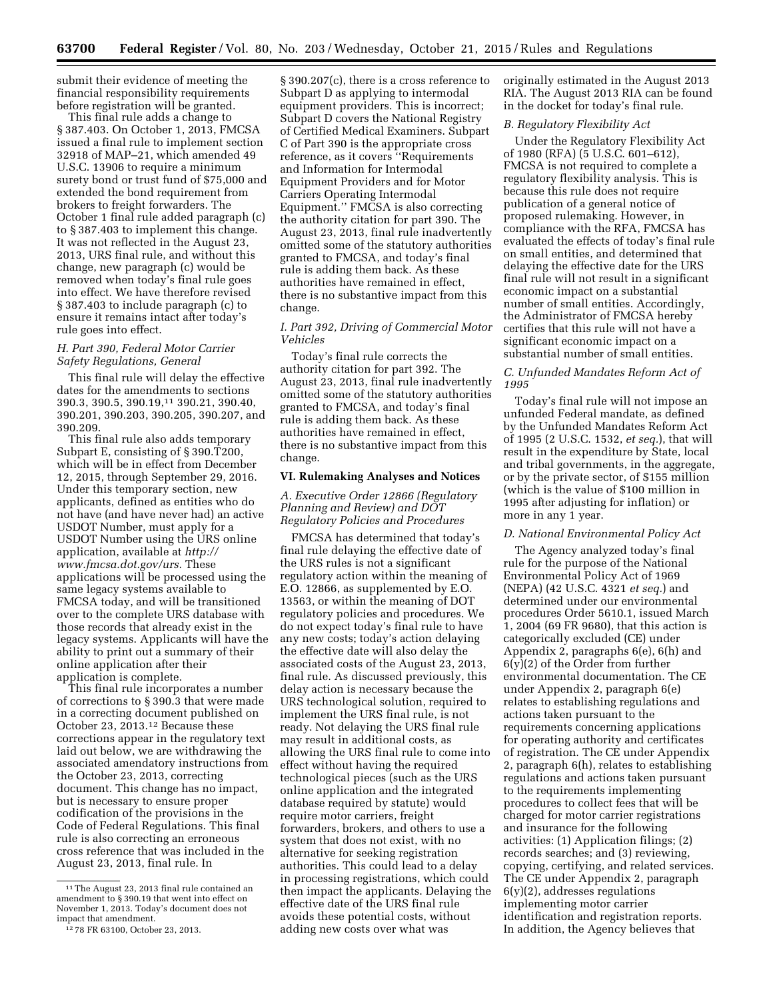submit their evidence of meeting the financial responsibility requirements before registration will be granted.

This final rule adds a change to § 387.403. On October 1, 2013, FMCSA issued a final rule to implement section 32918 of MAP–21, which amended 49 U.S.C. 13906 to require a minimum surety bond or trust fund of \$75,000 and extended the bond requirement from brokers to freight forwarders. The October 1 final rule added paragraph (c) to § 387.403 to implement this change. It was not reflected in the August 23, 2013, URS final rule, and without this change, new paragraph (c) would be removed when today's final rule goes into effect. We have therefore revised § 387.403 to include paragraph (c) to ensure it remains intact after today's rule goes into effect.

# *H. Part 390, Federal Motor Carrier Safety Regulations, General*

This final rule will delay the effective dates for the amendments to sections 390.3, 390.5, 390.19,11 390.21, 390.40, 390.201, 390.203, 390.205, 390.207, and 390.209.

This final rule also adds temporary Subpart E, consisting of § 390.T200, which will be in effect from December 12, 2015, through September 29, 2016. Under this temporary section, new applicants, defined as entities who do not have (and have never had) an active USDOT Number, must apply for a USDOT Number using the URS online application, available at *[http://](http://www.fmcsa.dot.gov/urs) [www.fmcsa.dot.gov/urs.](http://www.fmcsa.dot.gov/urs)* These applications will be processed using the same legacy systems available to FMCSA today, and will be transitioned over to the complete URS database with those records that already exist in the legacy systems. Applicants will have the ability to print out a summary of their online application after their application is complete.

This final rule incorporates a number of corrections to § 390.3 that were made in a correcting document published on October 23, 2013.12 Because these corrections appear in the regulatory text laid out below, we are withdrawing the associated amendatory instructions from the October 23, 2013, correcting document. This change has no impact, but is necessary to ensure proper codification of the provisions in the Code of Federal Regulations. This final rule is also correcting an erroneous cross reference that was included in the August 23, 2013, final rule. In

§ 390.207(c), there is a cross reference to Subpart D as applying to intermodal equipment providers. This is incorrect; Subpart D covers the National Registry of Certified Medical Examiners. Subpart C of Part 390 is the appropriate cross reference, as it covers ''Requirements and Information for Intermodal Equipment Providers and for Motor Carriers Operating Intermodal Equipment.'' FMCSA is also correcting the authority citation for part 390. The August 23, 2013, final rule inadvertently omitted some of the statutory authorities granted to FMCSA, and today's final rule is adding them back. As these authorities have remained in effect, there is no substantive impact from this change.

# *I. Part 392, Driving of Commercial Motor Vehicles*

Today's final rule corrects the authority citation for part 392. The August 23, 2013, final rule inadvertently omitted some of the statutory authorities granted to FMCSA, and today's final rule is adding them back. As these authorities have remained in effect, there is no substantive impact from this change.

# **VI. Rulemaking Analyses and Notices**

*A. Executive Order 12866 (Regulatory Planning and Review) and DOT Regulatory Policies and Procedures* 

FMCSA has determined that today's final rule delaying the effective date of the URS rules is not a significant regulatory action within the meaning of E.O. 12866, as supplemented by E.O. 13563, or within the meaning of DOT regulatory policies and procedures. We do not expect today's final rule to have any new costs; today's action delaying the effective date will also delay the associated costs of the August 23, 2013, final rule. As discussed previously, this delay action is necessary because the URS technological solution, required to implement the URS final rule, is not ready. Not delaying the URS final rule may result in additional costs, as allowing the URS final rule to come into effect without having the required technological pieces (such as the URS online application and the integrated database required by statute) would require motor carriers, freight forwarders, brokers, and others to use a system that does not exist, with no alternative for seeking registration authorities. This could lead to a delay in processing registrations, which could then impact the applicants. Delaying the effective date of the URS final rule avoids these potential costs, without adding new costs over what was

originally estimated in the August 2013 RIA. The August 2013 RIA can be found in the docket for today's final rule.

# *B. Regulatory Flexibility Act*

Under the Regulatory Flexibility Act of 1980 (RFA) (5 U.S.C. 601–612), FMCSA is not required to complete a regulatory flexibility analysis. This is because this rule does not require publication of a general notice of proposed rulemaking. However, in compliance with the RFA, FMCSA has evaluated the effects of today's final rule on small entities, and determined that delaying the effective date for the URS final rule will not result in a significant economic impact on a substantial number of small entities. Accordingly, the Administrator of FMCSA hereby certifies that this rule will not have a significant economic impact on a substantial number of small entities.

## *C. Unfunded Mandates Reform Act of 1995*

Today's final rule will not impose an unfunded Federal mandate, as defined by the Unfunded Mandates Reform Act of 1995 (2 U.S.C. 1532, *et seq.*), that will result in the expenditure by State, local and tribal governments, in the aggregate, or by the private sector, of \$155 million (which is the value of \$100 million in 1995 after adjusting for inflation) or more in any 1 year.

# *D. National Environmental Policy Act*

The Agency analyzed today's final rule for the purpose of the National Environmental Policy Act of 1969 (NEPA) (42 U.S.C. 4321 *et seq.*) and determined under our environmental procedures Order 5610.1, issued March 1, 2004 (69 FR 9680), that this action is categorically excluded (CE) under Appendix 2, paragraphs 6(e), 6(h) and  $6(y)(2)$  of the Order from further environmental documentation. The CE under Appendix 2, paragraph 6(e) relates to establishing regulations and actions taken pursuant to the requirements concerning applications for operating authority and certificates of registration. The CE under Appendix 2, paragraph 6(h), relates to establishing regulations and actions taken pursuant to the requirements implementing procedures to collect fees that will be charged for motor carrier registrations and insurance for the following activities: (1) Application filings; (2) records searches; and (3) reviewing, copying, certifying, and related services. The CE under Appendix 2, paragraph 6(y)(2), addresses regulations implementing motor carrier identification and registration reports. In addition, the Agency believes that

<sup>11</sup>The August 23, 2013 final rule contained an amendment to § 390.19 that went into effect on November 1, 2013. Today's document does not impact that amendment.

<sup>12</sup> 78 FR 63100, October 23, 2013.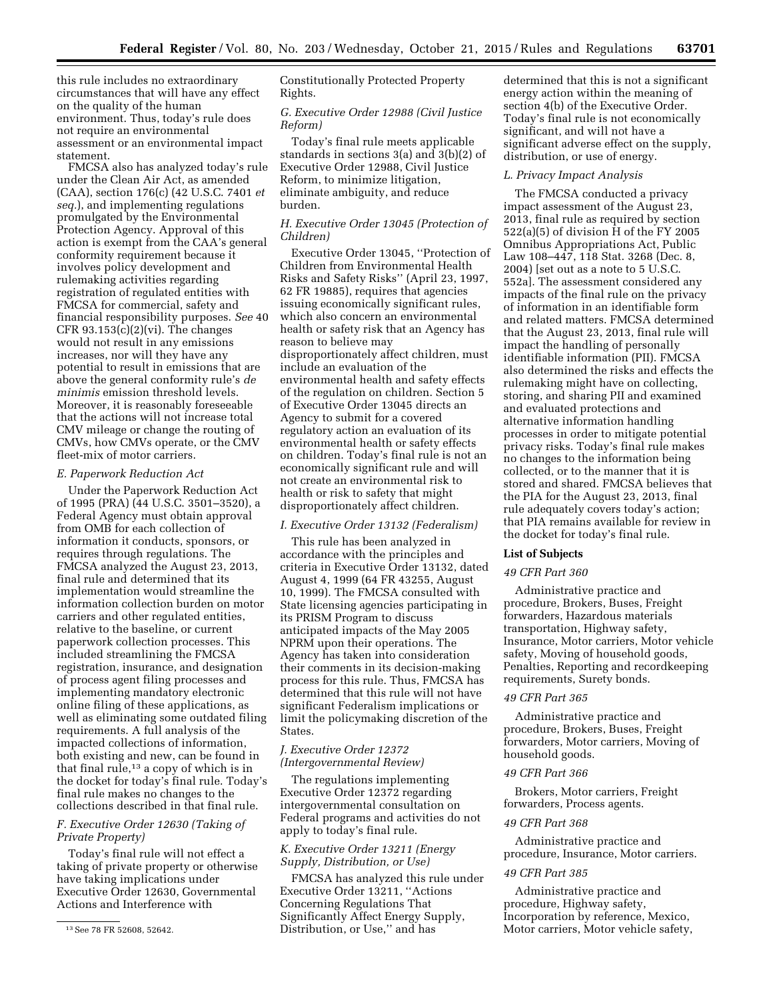this rule includes no extraordinary circumstances that will have any effect on the quality of the human environment. Thus, today's rule does not require an environmental assessment or an environmental impact statement.

FMCSA also has analyzed today's rule under the Clean Air Act, as amended (CAA), section 176(c) (42 U.S.C. 7401 *et seq.*), and implementing regulations promulgated by the Environmental Protection Agency. Approval of this action is exempt from the CAA's general conformity requirement because it involves policy development and rulemaking activities regarding registration of regulated entities with FMCSA for commercial, safety and financial responsibility purposes. *See* 40  $CFR 93.153(c)(2)(vi)$ . The changes would not result in any emissions increases, nor will they have any potential to result in emissions that are above the general conformity rule's *de minimis* emission threshold levels. Moreover, it is reasonably foreseeable that the actions will not increase total CMV mileage or change the routing of CMVs, how CMVs operate, or the CMV fleet-mix of motor carriers.

#### *E. Paperwork Reduction Act*

Under the Paperwork Reduction Act of 1995 (PRA) (44 U.S.C. 3501–3520), a Federal Agency must obtain approval from OMB for each collection of information it conducts, sponsors, or requires through regulations. The FMCSA analyzed the August 23, 2013, final rule and determined that its implementation would streamline the information collection burden on motor carriers and other regulated entities, relative to the baseline, or current paperwork collection processes. This included streamlining the FMCSA registration, insurance, and designation of process agent filing processes and implementing mandatory electronic online filing of these applications, as well as eliminating some outdated filing requirements. A full analysis of the impacted collections of information, both existing and new, can be found in that final rule, $13$  a copy of which is in the docket for today's final rule. Today's final rule makes no changes to the collections described in that final rule.

# *F. Executive Order 12630 (Taking of Private Property)*

Today's final rule will not effect a taking of private property or otherwise have taking implications under Executive Order 12630, Governmental Actions and Interference with

Constitutionally Protected Property Rights.

# *G. Executive Order 12988 (Civil Justice Reform)*

Today's final rule meets applicable standards in sections 3(a) and 3(b)(2) of Executive Order 12988, Civil Justice Reform, to minimize litigation, eliminate ambiguity, and reduce burden.

# *H. Executive Order 13045 (Protection of Children)*

Executive Order 13045, ''Protection of Children from Environmental Health Risks and Safety Risks'' (April 23, 1997, 62 FR 19885), requires that agencies issuing economically significant rules, which also concern an environmental health or safety risk that an Agency has reason to believe may disproportionately affect children, must include an evaluation of the environmental health and safety effects of the regulation on children. Section 5 of Executive Order 13045 directs an Agency to submit for a covered regulatory action an evaluation of its environmental health or safety effects on children. Today's final rule is not an economically significant rule and will not create an environmental risk to health or risk to safety that might disproportionately affect children.

#### *I. Executive Order 13132 (Federalism)*

This rule has been analyzed in accordance with the principles and criteria in Executive Order 13132, dated August 4, 1999 (64 FR 43255, August 10, 1999). The FMCSA consulted with State licensing agencies participating in its PRISM Program to discuss anticipated impacts of the May 2005 NPRM upon their operations. The Agency has taken into consideration their comments in its decision-making process for this rule. Thus, FMCSA has determined that this rule will not have significant Federalism implications or limit the policymaking discretion of the States.

# *J. Executive Order 12372 (Intergovernmental Review)*

The regulations implementing Executive Order 12372 regarding intergovernmental consultation on Federal programs and activities do not apply to today's final rule.

# *K. Executive Order 13211 (Energy Supply, Distribution, or Use)*

FMCSA has analyzed this rule under Executive Order 13211, ''Actions Concerning Regulations That Significantly Affect Energy Supply, Distribution, or Use,'' and has

determined that this is not a significant energy action within the meaning of section 4(b) of the Executive Order. Today's final rule is not economically significant, and will not have a significant adverse effect on the supply, distribution, or use of energy.

#### *L. Privacy Impact Analysis*

The FMCSA conducted a privacy impact assessment of the August 23, 2013, final rule as required by section 522(a)(5) of division H of the FY 2005 Omnibus Appropriations Act, Public Law 108–447, 118 Stat. 3268 (Dec. 8, 2004) [set out as a note to 5 U.S.C. 552a]. The assessment considered any impacts of the final rule on the privacy of information in an identifiable form and related matters. FMCSA determined that the August 23, 2013, final rule will impact the handling of personally identifiable information (PII). FMCSA also determined the risks and effects the rulemaking might have on collecting, storing, and sharing PII and examined and evaluated protections and alternative information handling processes in order to mitigate potential privacy risks. Today's final rule makes no changes to the information being collected, or to the manner that it is stored and shared. FMCSA believes that the PIA for the August 23, 2013, final rule adequately covers today's action; that PIA remains available for review in the docket for today's final rule.

## **List of Subjects**

### *49 CFR Part 360*

Administrative practice and procedure, Brokers, Buses, Freight forwarders, Hazardous materials transportation, Highway safety, Insurance, Motor carriers, Motor vehicle safety, Moving of household goods, Penalties, Reporting and recordkeeping requirements, Surety bonds.

### *49 CFR Part 365*

Administrative practice and procedure, Brokers, Buses, Freight forwarders, Motor carriers, Moving of household goods.

#### *49 CFR Part 366*

Brokers, Motor carriers, Freight forwarders, Process agents.

#### *49 CFR Part 368*

Administrative practice and procedure, Insurance, Motor carriers.

# *49 CFR Part 385*

Administrative practice and procedure, Highway safety, Incorporation by reference, Mexico, Motor carriers, Motor vehicle safety,

<sup>13</sup>See 78 FR 52608, 52642.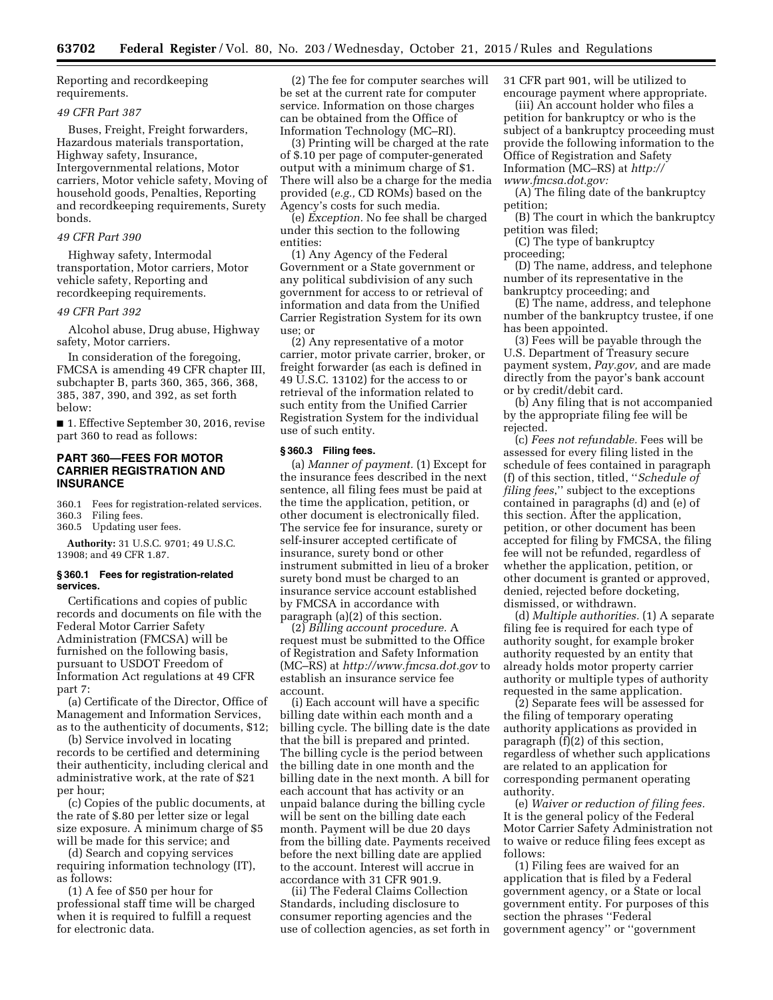Reporting and recordkeeping requirements.

# *49 CFR Part 387*

Buses, Freight, Freight forwarders, Hazardous materials transportation, Highway safety, Insurance, Intergovernmental relations, Motor carriers, Motor vehicle safety, Moving of household goods, Penalties, Reporting and recordkeeping requirements, Surety bonds.

#### *49 CFR Part 390*

Highway safety, Intermodal transportation, Motor carriers, Motor vehicle safety, Reporting and recordkeeping requirements.

## *49 CFR Part 392*

Alcohol abuse, Drug abuse, Highway safety, Motor carriers.

In consideration of the foregoing, FMCSA is amending 49 CFR chapter III, subchapter B, parts 360, 365, 366, 368, 385, 387, 390, and 392, as set forth below:

■ 1. Effective September 30, 2016, revise part 360 to read as follows:

# **PART 360—FEES FOR MOTOR CARRIER REGISTRATION AND INSURANCE**

360.1 Fees for registration-related services. 360.3 Filing fees.

360.5 Updating user fees.

**Authority:** 31 U.S.C. 9701; 49 U.S.C. 13908; and 49 CFR 1.87.

#### **§ 360.1 Fees for registration-related services.**

Certifications and copies of public records and documents on file with the Federal Motor Carrier Safety Administration (FMCSA) will be furnished on the following basis, pursuant to USDOT Freedom of Information Act regulations at 49 CFR part 7:

(a) Certificate of the Director, Office of Management and Information Services, as to the authenticity of documents, \$12;

(b) Service involved in locating records to be certified and determining their authenticity, including clerical and administrative work, at the rate of \$21 per hour;

(c) Copies of the public documents, at the rate of \$.80 per letter size or legal size exposure. A minimum charge of \$5 will be made for this service; and

(d) Search and copying services requiring information technology (IT), as follows:

(1) A fee of \$50 per hour for professional staff time will be charged when it is required to fulfill a request for electronic data.

(2) The fee for computer searches will be set at the current rate for computer service. Information on those charges can be obtained from the Office of Information Technology (MC–RI).

(3) Printing will be charged at the rate of \$.10 per page of computer-generated output with a minimum charge of \$1. There will also be a charge for the media provided (*e.g.,* CD ROMs) based on the Agency's costs for such media.

(e) *Exception.* No fee shall be charged under this section to the following entities:

(1) Any Agency of the Federal Government or a State government or any political subdivision of any such government for access to or retrieval of information and data from the Unified Carrier Registration System for its own use; or

(2) Any representative of a motor carrier, motor private carrier, broker, or freight forwarder (as each is defined in 49 U.S.C. 13102) for the access to or retrieval of the information related to such entity from the Unified Carrier Registration System for the individual use of such entity.

### **§ 360.3 Filing fees.**

(a) *Manner of payment.* (1) Except for the insurance fees described in the next sentence, all filing fees must be paid at the time the application, petition, or other document is electronically filed. The service fee for insurance, surety or self-insurer accepted certificate of insurance, surety bond or other instrument submitted in lieu of a broker surety bond must be charged to an insurance service account established by FMCSA in accordance with paragraph (a)(2) of this section.

(2) *Billing account procedure.* A request must be submitted to the Office of Registration and Safety Information (MC–RS) at *<http://www.fmcsa.dot.gov>* to establish an insurance service fee account.

(i) Each account will have a specific billing date within each month and a billing cycle. The billing date is the date that the bill is prepared and printed. The billing cycle is the period between the billing date in one month and the billing date in the next month. A bill for each account that has activity or an unpaid balance during the billing cycle will be sent on the billing date each month. Payment will be due 20 days from the billing date. Payments received before the next billing date are applied to the account. Interest will accrue in accordance with 31 CFR 901.9.

(ii) The Federal Claims Collection Standards, including disclosure to consumer reporting agencies and the use of collection agencies, as set forth in 31 CFR part 901, will be utilized to encourage payment where appropriate.

(iii) An account holder who files a petition for bankruptcy or who is the subject of a bankruptcy proceeding must provide the following information to the Office of Registration and Safety Information (MC–RS) at *[http://](http://www.fmcsa.dot.gov) [www.fmcsa.dot.gov:](http://www.fmcsa.dot.gov)* 

(A) The filing date of the bankruptcy petition;

(B) The court in which the bankruptcy petition was filed;

(C) The type of bankruptcy

proceeding;

(D) The name, address, and telephone number of its representative in the bankruptcy proceeding; and

(E) The name, address, and telephone number of the bankruptcy trustee, if one has been appointed.

(3) Fees will be payable through the U.S. Department of Treasury secure payment system, *Pay.gov,* and are made directly from the payor's bank account or by credit/debit card.

(b) Any filing that is not accompanied by the appropriate filing fee will be rejected.

(c) *Fees not refundable.* Fees will be assessed for every filing listed in the schedule of fees contained in paragraph (f) of this section, titled, ''*Schedule of filing fees*,'' subject to the exceptions contained in paragraphs (d) and (e) of this section. After the application, petition, or other document has been accepted for filing by FMCSA, the filing fee will not be refunded, regardless of whether the application, petition, or other document is granted or approved, denied, rejected before docketing, dismissed, or withdrawn.

(d) *Multiple authorities.* (1) A separate filing fee is required for each type of authority sought, for example broker authority requested by an entity that already holds motor property carrier authority or multiple types of authority requested in the same application.

(2) Separate fees will be assessed for the filing of temporary operating authority applications as provided in paragraph (f)(2) of this section, regardless of whether such applications are related to an application for corresponding permanent operating authority.

(e) *Waiver or reduction of filing fees.*  It is the general policy of the Federal Motor Carrier Safety Administration not to waive or reduce filing fees except as follows:

(1) Filing fees are waived for an application that is filed by a Federal government agency, or a State or local government entity. For purposes of this section the phrases ''Federal government agency'' or ''government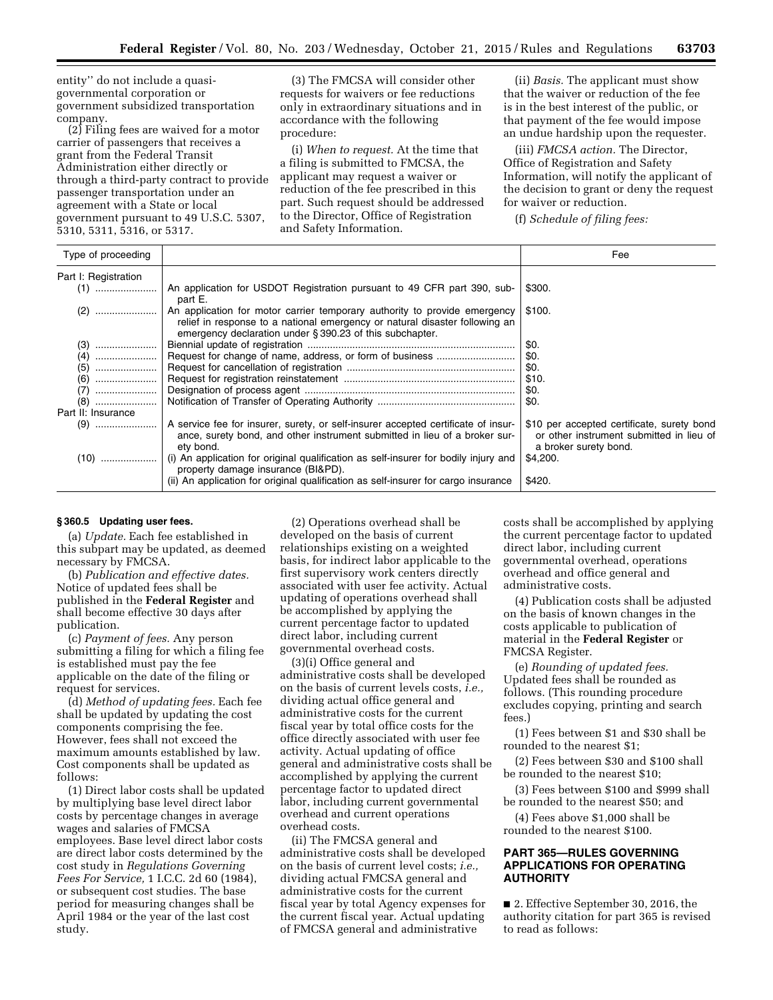entity'' do not include a quasigovernmental corporation or government subsidized transportation company.

(2) Filing fees are waived for a motor carrier of passengers that receives a grant from the Federal Transit Administration either directly or through a third-party contract to provide passenger transportation under an agreement with a State or local government pursuant to 49 U.S.C. 5307, 5310, 5311, 5316, or 5317.

(3) The FMCSA will consider other requests for waivers or fee reductions only in extraordinary situations and in accordance with the following procedure:

(i) *When to request.* At the time that a filing is submitted to FMCSA, the applicant may request a waiver or reduction of the fee prescribed in this part. Such request should be addressed to the Director, Office of Registration and Safety Information.

(ii) *Basis.* The applicant must show that the waiver or reduction of the fee is in the best interest of the public, or that payment of the fee would impose an undue hardship upon the requester.

(iii) *FMCSA action.* The Director, Office of Registration and Safety Information, will notify the applicant of the decision to grant or deny the request for waiver or reduction.

(f) *Schedule of filing fees:* 

| Type of proceeding   |                                                                                                                                                                                                                     | Fee                                                                                                             |
|----------------------|---------------------------------------------------------------------------------------------------------------------------------------------------------------------------------------------------------------------|-----------------------------------------------------------------------------------------------------------------|
| Part I: Registration |                                                                                                                                                                                                                     |                                                                                                                 |
| (1)                  | An application for USDOT Registration pursuant to 49 CFR part 390, sub-<br>part E.                                                                                                                                  | \$300.                                                                                                          |
| <br>(2)              | An application for motor carrier temporary authority to provide emergency<br>relief in response to a national emergency or natural disaster following an<br>emergency declaration under §390.23 of this subchapter. | \$100.                                                                                                          |
| (3).                 |                                                                                                                                                                                                                     | \$0.                                                                                                            |
| (4)                  |                                                                                                                                                                                                                     | \$0.                                                                                                            |
| (5)<br>              |                                                                                                                                                                                                                     | \$0.                                                                                                            |
| (6)<br>              |                                                                                                                                                                                                                     | \$10.                                                                                                           |
|                      |                                                                                                                                                                                                                     | \$0.                                                                                                            |
| <br>(8)              |                                                                                                                                                                                                                     | \$0.                                                                                                            |
| Part II: Insurance   |                                                                                                                                                                                                                     |                                                                                                                 |
| (9)<br>              | A service fee for insurer, surety, or self-insurer accepted certificate of insur-<br>ance, surety bond, and other instrument submitted in lieu of a broker sur-<br>ety bond.                                        | \$10 per accepted certificate, surety bond<br>or other instrument submitted in lieu of<br>a broker surety bond. |
|                      | (i) An application for original qualification as self-insurer for bodily injury and<br>property damage insurance (BI&PD).<br>(ii) An application for original qualification as self-insurer for cargo insurance     | \$4,200.<br>\$420.                                                                                              |

## **§ 360.5 Updating user fees.**

(a) *Update.* Each fee established in this subpart may be updated, as deemed necessary by FMCSA.

(b) *Publication and effective dates.*  Notice of updated fees shall be published in the **Federal Register** and shall become effective 30 days after publication.

(c) *Payment of fees.* Any person submitting a filing for which a filing fee is established must pay the fee applicable on the date of the filing or request for services.

(d) *Method of updating fees.* Each fee shall be updated by updating the cost components comprising the fee. However, fees shall not exceed the maximum amounts established by law. Cost components shall be updated as follows:

(1) Direct labor costs shall be updated by multiplying base level direct labor costs by percentage changes in average wages and salaries of FMCSA employees. Base level direct labor costs are direct labor costs determined by the cost study in *Regulations Governing Fees For Service,* 1 I.C.C. 2d 60 (1984), or subsequent cost studies. The base period for measuring changes shall be April 1984 or the year of the last cost study.

(2) Operations overhead shall be developed on the basis of current relationships existing on a weighted basis, for indirect labor applicable to the first supervisory work centers directly associated with user fee activity. Actual updating of operations overhead shall be accomplished by applying the current percentage factor to updated direct labor, including current governmental overhead costs.

(3)(i) Office general and administrative costs shall be developed on the basis of current levels costs, *i.e.,*  dividing actual office general and administrative costs for the current fiscal year by total office costs for the office directly associated with user fee activity. Actual updating of office general and administrative costs shall be accomplished by applying the current percentage factor to updated direct labor, including current governmental overhead and current operations overhead costs.

(ii) The FMCSA general and administrative costs shall be developed on the basis of current level costs; *i.e.,*  dividing actual FMCSA general and administrative costs for the current fiscal year by total Agency expenses for the current fiscal year. Actual updating of FMCSA general and administrative

costs shall be accomplished by applying the current percentage factor to updated direct labor, including current governmental overhead, operations overhead and office general and administrative costs.

(4) Publication costs shall be adjusted on the basis of known changes in the costs applicable to publication of material in the **Federal Register** or FMCSA Register.

(e) *Rounding of updated fees.*  Updated fees shall be rounded as follows. (This rounding procedure excludes copying, printing and search fees.)

(1) Fees between \$1 and \$30 shall be rounded to the nearest \$1;

(2) Fees between \$30 and \$100 shall be rounded to the nearest \$10;

(3) Fees between \$100 and \$999 shall be rounded to the nearest \$50; and

(4) Fees above \$1,000 shall be rounded to the nearest \$100.

# **PART 365—RULES GOVERNING APPLICATIONS FOR OPERATING AUTHORITY**

■ 2. Effective September 30, 2016, the authority citation for part 365 is revised to read as follows: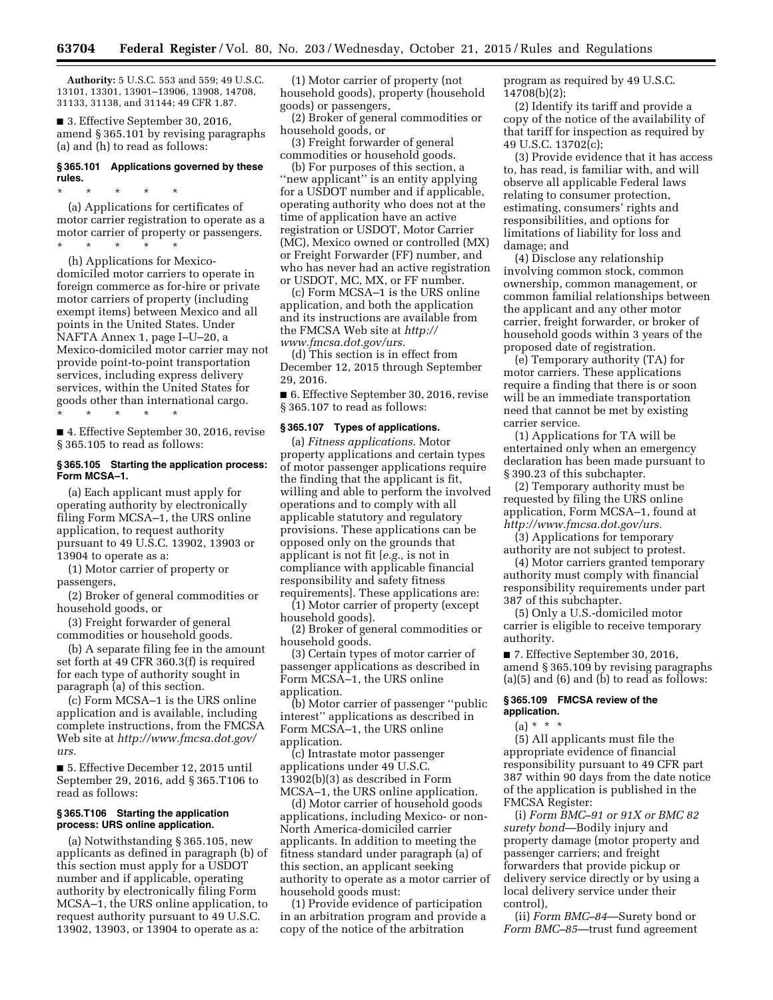**Authority:** 5 U.S.C. 553 and 559; 49 U.S.C. 13101, 13301, 13901–13906, 13908, 14708, 31133, 31138, and 31144; 49 CFR 1.87.

■ 3. Effective September 30, 2016, amend § 365.101 by revising paragraphs (a) and (h) to read as follows:

# **§ 365.101 Applications governed by these rules.**

\* \* \* \* \* (a) Applications for certificates of motor carrier registration to operate as a motor carrier of property or passengers. \* \* \* \* \*

(h) Applications for Mexicodomiciled motor carriers to operate in foreign commerce as for-hire or private motor carriers of property (including exempt items) between Mexico and all points in the United States. Under NAFTA Annex 1, page I–U–20, a Mexico-domiciled motor carrier may not provide point-to-point transportation services, including express delivery services, within the United States for goods other than international cargo.

\* \* \* \* \* ■ 4. Effective September 30, 2016, revise § 365.105 to read as follows:

# **§ 365.105 Starting the application process: Form MCSA–1.**

(a) Each applicant must apply for operating authority by electronically filing Form MCSA–1, the URS online application, to request authority pursuant to 49 U.S.C. 13902, 13903 or 13904 to operate as a:

(1) Motor carrier of property or passengers,

(2) Broker of general commodities or household goods, or

(3) Freight forwarder of general commodities or household goods.

(b) A separate filing fee in the amount set forth at 49 CFR 360.3(f) is required for each type of authority sought in paragraph (a) of this section.

(c) Form MCSA–1 is the URS online application and is available, including complete instructions, from the FMCSA Web site at *[http://www.fmcsa.dot.gov/](http://www.fmcsa.dot.gov/urs) [urs.](http://www.fmcsa.dot.gov/urs)* 

■ 5. Effective December 12, 2015 until September 29, 2016, add § 365.T106 to read as follows:

## **§ 365.T106 Starting the application process: URS online application.**

(a) Notwithstanding § 365.105, new applicants as defined in paragraph (b) of this section must apply for a USDOT number and if applicable, operating authority by electronically filing Form MCSA–1, the URS online application, to request authority pursuant to 49 U.S.C. 13902, 13903, or 13904 to operate as a:

(1) Motor carrier of property (not household goods), property (household goods) or passengers,

(2) Broker of general commodities or household goods, or

(3) Freight forwarder of general commodities or household goods.

(b) For purposes of this section, a "new applicant" is an entity applying for a USDOT number and if applicable, operating authority who does not at the time of application have an active registration or USDOT, Motor Carrier (MC), Mexico owned or controlled (MX) or Freight Forwarder (FF) number, and who has never had an active registration or USDOT, MC, MX, or FF number.

(c) Form MCSA–1 is the URS online application, and both the application and its instructions are available from the FMCSA Web site at *[http://](http://www.fmcsa.dot.gov/urs) [www.fmcsa.dot.gov/urs.](http://www.fmcsa.dot.gov/urs)* 

(d) This section is in effect from December 12, 2015 through September 29, 2016.

■ 6. Effective September 30, 2016, revise § 365.107 to read as follows:

#### **§ 365.107 Types of applications.**

(a) *Fitness applications.* Motor property applications and certain types of motor passenger applications require the finding that the applicant is fit, willing and able to perform the involved operations and to comply with all applicable statutory and regulatory provisions. These applications can be opposed only on the grounds that applicant is not fit [*e.g.,* is not in compliance with applicable financial responsibility and safety fitness requirements]. These applications are:

(1) Motor carrier of property (except household goods).

(2) Broker of general commodities or household goods.

(3) Certain types of motor carrier of passenger applications as described in Form MCSA–1, the URS online application.

(b) Motor carrier of passenger ''public interest'' applications as described in Form MCSA–1, the URS online application.

(c) Intrastate motor passenger applications under 49 U.S.C. 13902(b)(3) as described in Form MCSA–1, the URS online application.

(d) Motor carrier of household goods applications, including Mexico- or non-North America-domiciled carrier applicants. In addition to meeting the fitness standard under paragraph (a) of this section, an applicant seeking authority to operate as a motor carrier of household goods must:

(1) Provide evidence of participation in an arbitration program and provide a copy of the notice of the arbitration

program as required by 49 U.S.C. 14708(b)(2);

(2) Identify its tariff and provide a copy of the notice of the availability of that tariff for inspection as required by 49 U.S.C. 13702(c);

(3) Provide evidence that it has access to, has read, is familiar with, and will observe all applicable Federal laws relating to consumer protection, estimating, consumers' rights and responsibilities, and options for limitations of liability for loss and damage; and

(4) Disclose any relationship involving common stock, common ownership, common management, or common familial relationships between the applicant and any other motor carrier, freight forwarder, or broker of household goods within 3 years of the proposed date of registration.

(e) Temporary authority (TA) for motor carriers. These applications require a finding that there is or soon will be an immediate transportation need that cannot be met by existing carrier service.

(1) Applications for TA will be entertained only when an emergency declaration has been made pursuant to § 390.23 of this subchapter.

(2) Temporary authority must be requested by filing the URS online application, Form MCSA–1, found at *[http://www.fmcsa.dot.gov/urs.](http://www.fmcsa.dot.gov/urs)* 

(3) Applications for temporary authority are not subject to protest.

(4) Motor carriers granted temporary authority must comply with financial responsibility requirements under part 387 of this subchapter.

(5) Only a U.S.-domiciled motor carrier is eligible to receive temporary authority.

■ 7. Effective September 30, 2016, amend § 365.109 by revising paragraphs (a)(5) and (6) and (b) to read as follows:

### **§ 365.109 FMCSA review of the application.**

# $(a) * * * *$

(5) All applicants must file the appropriate evidence of financial responsibility pursuant to 49 CFR part 387 within 90 days from the date notice of the application is published in the FMCSA Register:

(i) *Form BMC–91 or 91X or BMC 82 surety bond*—Bodily injury and property damage (motor property and passenger carriers; and freight forwarders that provide pickup or delivery service directly or by using a local delivery service under their control),

(ii) *Form BMC–84*—Surety bond or *Form BMC–85*—trust fund agreement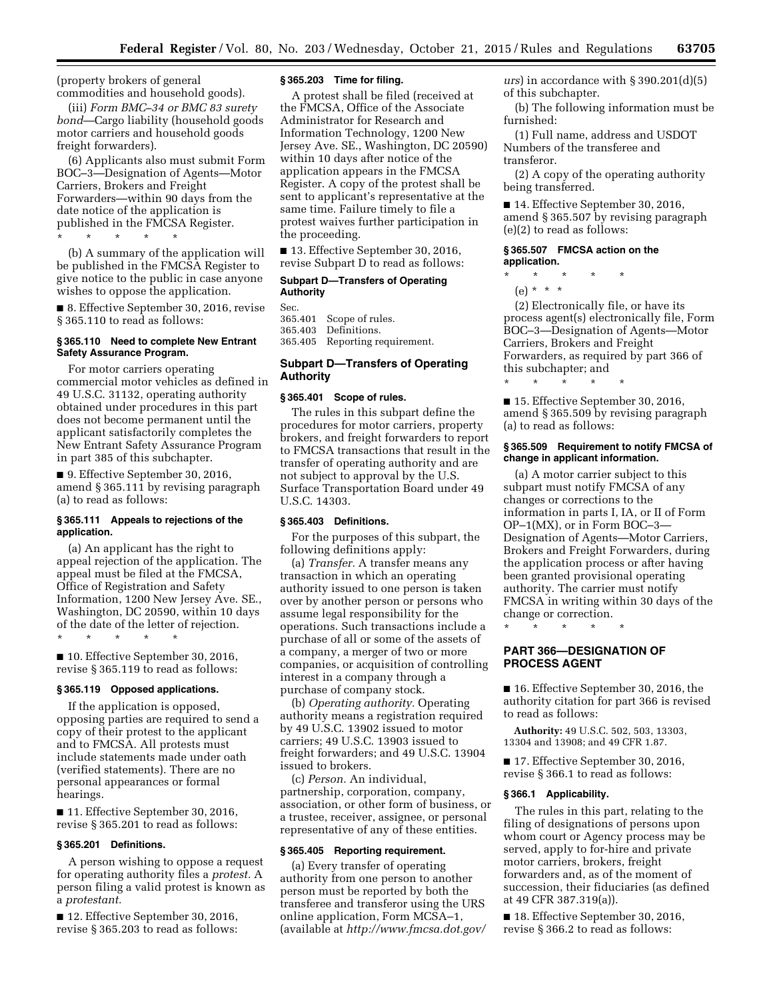(property brokers of general commodities and household goods).

(iii) *Form BMC–34 or BMC 83 surety bond*—Cargo liability (household goods motor carriers and household goods freight forwarders).

(6) Applicants also must submit Form BOC–3—Designation of Agents—Motor Carriers, Brokers and Freight Forwarders—within 90 days from the date notice of the application is published in the FMCSA Register.

\* \* \* \* \*

(b) A summary of the application will be published in the FMCSA Register to give notice to the public in case anyone wishes to oppose the application.

■ 8. Effective September 30, 2016, revise § 365.110 to read as follows:

### **§ 365.110 Need to complete New Entrant Safety Assurance Program.**

For motor carriers operating commercial motor vehicles as defined in 49 U.S.C. 31132, operating authority obtained under procedures in this part does not become permanent until the applicant satisfactorily completes the New Entrant Safety Assurance Program in part 385 of this subchapter.

■ 9. Effective September 30, 2016, amend § 365.111 by revising paragraph (a) to read as follows:

## **§ 365.111 Appeals to rejections of the application.**

(a) An applicant has the right to appeal rejection of the application. The appeal must be filed at the FMCSA, Office of Registration and Safety Information, 1200 New Jersey Ave. SE., Washington, DC 20590, within 10 days of the date of the letter of rejection. \* \* \* \* \*

■ 10. Effective September 30, 2016, revise § 365.119 to read as follows:

## **§ 365.119 Opposed applications.**

If the application is opposed, opposing parties are required to send a copy of their protest to the applicant and to FMCSA. All protests must include statements made under oath (verified statements). There are no personal appearances or formal hearings.

■ 11. Effective September 30, 2016, revise § 365.201 to read as follows:

# **§ 365.201 Definitions.**

A person wishing to oppose a request for operating authority files a *protest.* A person filing a valid protest is known as a *protestant.* 

■ 12. Effective September 30, 2016, revise § 365.203 to read as follows:

# **§ 365.203 Time for filing.**

A protest shall be filed (received at the FMCSA, Office of the Associate Administrator for Research and Information Technology, 1200 New Jersey Ave. SE., Washington, DC 20590) within 10 days after notice of the application appears in the FMCSA Register. A copy of the protest shall be sent to applicant's representative at the same time. Failure timely to file a protest waives further participation in the proceeding.

■ 13. Effective September 30, 2016, revise Subpart D to read as follows:

# **Subpart D—Transfers of Operating Authority**

Sec. 365.401 Scope of rules. 365.403 Definitions. 365.405 Reporting requirement.

# **Subpart D—Transfers of Operating Authority**

# **§ 365.401 Scope of rules.**

The rules in this subpart define the procedures for motor carriers, property brokers, and freight forwarders to report to FMCSA transactions that result in the transfer of operating authority and are not subject to approval by the U.S. Surface Transportation Board under 49 U.S.C. 14303.

#### **§ 365.403 Definitions.**

For the purposes of this subpart, the following definitions apply:

(a) *Transfer.* A transfer means any transaction in which an operating authority issued to one person is taken over by another person or persons who assume legal responsibility for the operations. Such transactions include a purchase of all or some of the assets of a company, a merger of two or more companies, or acquisition of controlling interest in a company through a purchase of company stock.

(b) *Operating authority.* Operating authority means a registration required by 49 U.S.C. 13902 issued to motor carriers; 49 U.S.C. 13903 issued to freight forwarders; and 49 U.S.C. 13904 issued to brokers.

(c) *Person.* An individual, partnership, corporation, company, association, or other form of business, or a trustee, receiver, assignee, or personal representative of any of these entities.

## **§ 365.405 Reporting requirement.**

(a) Every transfer of operating authority from one person to another person must be reported by both the transferee and transferor using the URS online application, Form MCSA–1, (available at *[http://www.fmcsa.dot.gov/](http://www.fmcsa.dot.gov/urs)* *[urs](http://www.fmcsa.dot.gov/urs)*) in accordance with § 390.201(d)(5) of this subchapter.

(b) The following information must be furnished:

(1) Full name, address and USDOT Numbers of the transferee and transferor.

(2) A copy of the operating authority being transferred.

■ 14. Effective September 30, 2016, amend § 365.507 by revising paragraph (e)(2) to read as follows:

# **§ 365.507 FMCSA action on the application.**

\* \* \* \* \*

(e) \* \* \*

(2) Electronically file, or have its process agent(s) electronically file, Form BOC–3—Designation of Agents—Motor Carriers, Brokers and Freight Forwarders, as required by part 366 of this subchapter; and

\* \* \* \* \*

■ 15. Effective September 30, 2016, amend § 365.509 by revising paragraph (a) to read as follows:

## **§ 365.509 Requirement to notify FMCSA of change in applicant information.**

(a) A motor carrier subject to this subpart must notify FMCSA of any changes or corrections to the information in parts I, IA, or II of Form OP–1(MX), or in Form BOC–3— Designation of Agents—Motor Carriers, Brokers and Freight Forwarders, during the application process or after having been granted provisional operating authority. The carrier must notify FMCSA in writing within 30 days of the change or correction.

\* \* \* \* \*

# **PART 366—DESIGNATION OF PROCESS AGENT**

■ 16. Effective September 30, 2016, the authority citation for part 366 is revised to read as follows:

**Authority:** 49 U.S.C. 502, 503, 13303, 13304 and 13908; and 49 CFR 1.87.

■ 17. Effective September 30, 2016, revise § 366.1 to read as follows:

#### **§ 366.1 Applicability.**

The rules in this part, relating to the filing of designations of persons upon whom court or Agency process may be served, apply to for-hire and private motor carriers, brokers, freight forwarders and, as of the moment of succession, their fiduciaries (as defined at 49 CFR 387.319(a)).

■ 18. Effective September 30, 2016, revise § 366.2 to read as follows: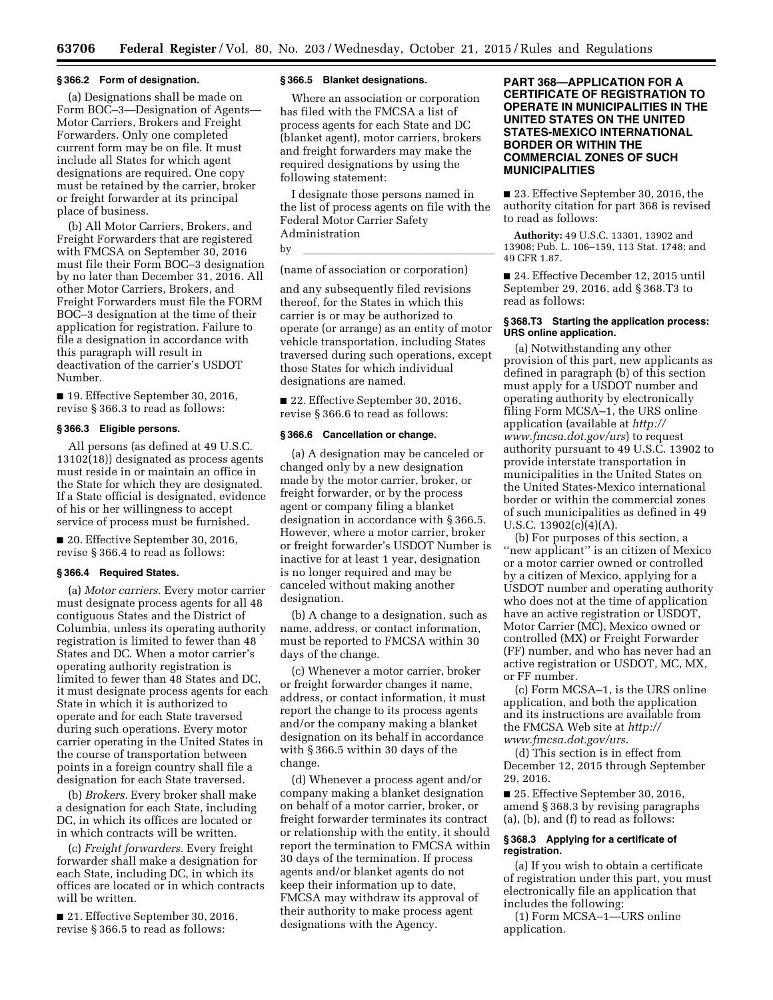# **§ 366.2 Form of designation.**

(a) Designations shall be made on Form BOC–3—Designation of Agents— Motor Carriers, Brokers and Freight Forwarders. Only one completed current form may be on file. It must include all States for which agent designations are required. One copy must be retained by the carrier, broker or freight forwarder at its principal place of business.

(b) All Motor Carriers, Brokers, and Freight Forwarders that are registered with FMCSA on September 30, 2016 must file their Form BOC–3 designation by no later than December 31, 2016. All other Motor Carriers, Brokers, and Freight Forwarders must file the FORM BOC–3 designation at the time of their application for registration. Failure to file a designation in accordance with this paragraph will result in deactivation of the carrier's USDOT Number.

■ 19. Effective September 30, 2016, revise § 366.3 to read as follows:

# **§ 366.3 Eligible persons.**

All persons (as defined at 49 U.S.C. 13102(18)) designated as process agents must reside in or maintain an office in the State for which they are designated. If a State official is designated, evidence of his or her willingness to accept service of process must be furnished.

■ 20. Effective September 30, 2016, revise § 366.4 to read as follows:

### **§ 366.4 Required States.**

(a) *Motor carriers.* Every motor carrier must designate process agents for all 48 contiguous States and the District of Columbia, unless its operating authority registration is limited to fewer than 48 States and DC. When a motor carrier's operating authority registration is limited to fewer than 48 States and DC, it must designate process agents for each State in which it is authorized to operate and for each State traversed during such operations. Every motor carrier operating in the United States in the course of transportation between points in a foreign country shall file a designation for each State traversed.

(b) *Brokers.* Every broker shall make a designation for each State, including DC, in which its offices are located or in which contracts will be written.

(c) *Freight forwarders.* Every freight forwarder shall make a designation for each State, including DC, in which its offices are located or in which contracts will be written.

■ 21. Effective September 30, 2016, revise § 366.5 to read as follows:

## **§ 366.5 Blanket designations.**

Where an association or corporation has filed with the FMCSA a list of process agents for each State and DC (blanket agent), motor carriers, brokers and freight forwarders may make the required designations by using the following statement:

I designate those persons named in the list of process agents on file with the Federal Motor Carrier Safety Administration

by  $\Box$ 

(name of association or corporation)

and any subsequently filed revisions thereof, for the States in which this carrier is or may be authorized to operate (or arrange) as an entity of motor vehicle transportation, including States traversed during such operations, except those States for which individual designations are named.

■ 22. Effective September 30, 2016, revise § 366.6 to read as follows:

### **§ 366.6 Cancellation or change.**

(a) A designation may be canceled or changed only by a new designation made by the motor carrier, broker, or freight forwarder, or by the process agent or company filing a blanket designation in accordance with § 366.5. However, where a motor carrier, broker or freight forwarder's USDOT Number is inactive for at least 1 year, designation is no longer required and may be canceled without making another designation.

(b) A change to a designation, such as name, address, or contact information, must be reported to FMCSA within 30 days of the change.

(c) Whenever a motor carrier, broker or freight forwarder changes it name, address, or contact information, it must report the change to its process agents and/or the company making a blanket designation on its behalf in accordance with § 366.5 within 30 days of the change.

(d) Whenever a process agent and/or company making a blanket designation on behalf of a motor carrier, broker, or freight forwarder terminates its contract or relationship with the entity, it should report the termination to FMCSA within 30 days of the termination. If process agents and/or blanket agents do not keep their information up to date, FMCSA may withdraw its approval of their authority to make process agent designations with the Agency.

# **PART 368—APPLICATION FOR A CERTIFICATE OF REGISTRATION TO OPERATE IN MUNICIPALITIES IN THE UNITED STATES ON THE UNITED STATES-MEXICO INTERNATIONAL BORDER OR WITHIN THE COMMERCIAL ZONES OF SUCH MUNICIPALITIES**

■ 23. Effective September 30, 2016, the authority citation for part 368 is revised to read as follows:

**Authority:** 49 U.S.C. 13301, 13902 and 13908; Pub. L. 106–159, 113 Stat. 1748; and 49 CFR 1.87.

■ 24. Effective December 12, 2015 until September 29, 2016, add § 368.T3 to read as follows:

### **§ 368.T3 Starting the application process: URS online application.**

(a) Notwithstanding any other provision of this part, new applicants as defined in paragraph (b) of this section must apply for a USDOT number and operating authority by electronically filing Form MCSA–1, the URS online application (available at *[http://](http://www.fmcsa.dot.gov/urs) [www.fmcsa.dot.gov/urs](http://www.fmcsa.dot.gov/urs)*) to request authority pursuant to 49 U.S.C. 13902 to provide interstate transportation in municipalities in the United States on the United States-Mexico international border or within the commercial zones of such municipalities as defined in 49 U.S.C. 13902(c)(4)(A).

(b) For purposes of this section, a ''new applicant'' is an citizen of Mexico or a motor carrier owned or controlled by a citizen of Mexico, applying for a USDOT number and operating authority who does not at the time of application have an active registration or USDOT, Motor Carrier (MC), Mexico owned or controlled (MX) or Freight Forwarder (FF) number, and who has never had an active registration or USDOT, MC, MX, or FF number.

(c) Form MCSA–1, is the URS online application, and both the application and its instructions are available from the FMCSA Web site at *[http://](http://www.fmcsa.dot.gov/urs) [www.fmcsa.dot.gov/urs](http://www.fmcsa.dot.gov/urs)*.

(d) This section is in effect from December 12, 2015 through September 29, 2016.

■ 25. Effective September 30, 2016, amend § 368.3 by revising paragraphs (a), (b), and (f) to read as follows:

## **§ 368.3 Applying for a certificate of registration.**

(a) If you wish to obtain a certificate of registration under this part, you must electronically file an application that includes the following:

(1) Form MCSA–1—URS online application.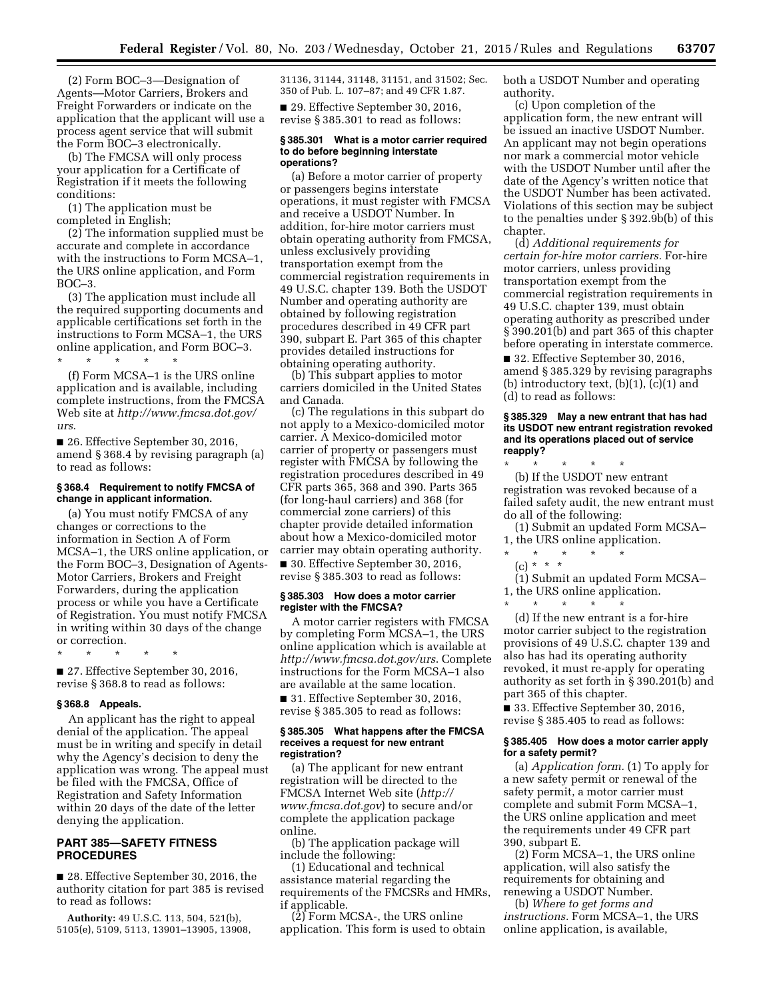(2) Form BOC–3—Designation of Agents—Motor Carriers, Brokers and Freight Forwarders or indicate on the application that the applicant will use a process agent service that will submit the Form BOC–3 electronically.

(b) The FMCSA will only process your application for a Certificate of Registration if it meets the following conditions:

(1) The application must be completed in English;

(2) The information supplied must be accurate and complete in accordance with the instructions to Form MCSA–1, the URS online application, and Form  $BOC-3$ .

(3) The application must include all the required supporting documents and applicable certifications set forth in the instructions to Form MCSA–1, the URS online application, and Form BOC–3.

\* \* \* \* \*

(f) Form MCSA–1 is the URS online application and is available, including complete instructions, from the FMCSA Web site at *[http://www.fmcsa.dot.gov/](http://www.fmcsa.dot.gov/urs) [urs](http://www.fmcsa.dot.gov/urs)*.

■ 26. Effective September 30, 2016, amend § 368.4 by revising paragraph (a) to read as follows:

# **§ 368.4 Requirement to notify FMCSA of change in applicant information.**

(a) You must notify FMCSA of any changes or corrections to the information in Section A of Form MCSA–1, the URS online application, or the Form BOC–3, Designation of Agents-Motor Carriers, Brokers and Freight Forwarders, during the application process or while you have a Certificate of Registration. You must notify FMCSA in writing within 30 days of the change or correction.

\* \* \* \* \*

■ 27. Effective September 30, 2016, revise § 368.8 to read as follows:

#### **§ 368.8 Appeals.**

An applicant has the right to appeal denial of the application. The appeal must be in writing and specify in detail why the Agency's decision to deny the application was wrong. The appeal must be filed with the FMCSA, Office of Registration and Safety Information within 20 days of the date of the letter denying the application.

# **PART 385—SAFETY FITNESS PROCEDURES**

■ 28. Effective September 30, 2016, the authority citation for part 385 is revised to read as follows:

**Authority:** 49 U.S.C. 113, 504, 521(b), 5105(e), 5109, 5113, 13901–13905, 13908, 31136, 31144, 31148, 31151, and 31502; Sec. 350 of Pub. L. 107–87; and 49 CFR 1.87.

■ 29. Effective September 30, 2016. revise § 385.301 to read as follows:

#### **§ 385.301 What is a motor carrier required to do before beginning interstate operations?**

(a) Before a motor carrier of property or passengers begins interstate operations, it must register with FMCSA and receive a USDOT Number. In addition, for-hire motor carriers must obtain operating authority from FMCSA, unless exclusively providing transportation exempt from the commercial registration requirements in 49 U.S.C. chapter 139. Both the USDOT Number and operating authority are obtained by following registration procedures described in 49 CFR part 390, subpart E. Part 365 of this chapter provides detailed instructions for obtaining operating authority.

(b) This subpart applies to motor carriers domiciled in the United States and Canada.

(c) The regulations in this subpart do not apply to a Mexico-domiciled motor carrier. A Mexico-domiciled motor carrier of property or passengers must register with FMCSA by following the registration procedures described in 49 CFR parts 365, 368 and 390. Parts 365 (for long-haul carriers) and 368 (for commercial zone carriers) of this chapter provide detailed information about how a Mexico-domiciled motor carrier may obtain operating authority. ■ 30. Effective September 30, 2016, revise § 385.303 to read as follows:

#### **§ 385.303 How does a motor carrier register with the FMCSA?**

A motor carrier registers with FMCSA by completing Form MCSA–1, the URS online application which is available at *<http://www.fmcsa.dot.gov/urs>*. Complete instructions for the Form MCSA–1 also are available at the same location.

■ 31. Effective September 30, 2016, revise § 385.305 to read as follows:

#### **§ 385.305 What happens after the FMCSA receives a request for new entrant registration?**

(a) The applicant for new entrant registration will be directed to the FMCSA Internet Web site (*[http://](http://www.fmcsa.dot.gov) [www.fmcsa.dot.gov](http://www.fmcsa.dot.gov)*) to secure and/or complete the application package online.

(b) The application package will include the following:

(1) Educational and technical assistance material regarding the requirements of the FMCSRs and HMRs, if applicable.

(2) Form MCSA-, the URS online application. This form is used to obtain both a USDOT Number and operating authority.

(c) Upon completion of the application form, the new entrant will be issued an inactive USDOT Number. An applicant may not begin operations nor mark a commercial motor vehicle with the USDOT Number until after the date of the Agency's written notice that the USDOT Number has been activated. Violations of this section may be subject to the penalties under § 392.9b(b) of this chapter.

(d) *Additional requirements for certain for-hire motor carriers.* For-hire motor carriers, unless providing transportation exempt from the commercial registration requirements in 49 U.S.C. chapter 139, must obtain operating authority as prescribed under § 390.201(b) and part 365 of this chapter before operating in interstate commerce.

■ 32. Effective September 30, 2016, amend § 385.329 by revising paragraphs (b) introductory text,  $(b)(1)$ ,  $(c)(1)$  and (d) to read as follows:

## **§ 385.329 May a new entrant that has had its USDOT new entrant registration revoked and its operations placed out of service reapply?**

\* \* \* \* \* (b) If the USDOT new entrant registration was revoked because of a failed safety audit, the new entrant must do all of the following:

- (1) Submit an updated Form MCSA– 1, the URS online application.
- \* \* \* \* \*
	- (c) \* \* \*

(1) Submit an updated Form MCSA– 1, the URS online application.

 $\star$   $\star$ (d) If the new entrant is a for-hire

motor carrier subject to the registration provisions of 49 U.S.C. chapter 139 and also has had its operating authority revoked, it must re-apply for operating authority as set forth in § 390.201(b) and part 365 of this chapter.

■ 33. Effective September 30, 2016, revise § 385.405 to read as follows:

# **§ 385.405 How does a motor carrier apply for a safety permit?**

(a) *Application form.* (1) To apply for a new safety permit or renewal of the safety permit, a motor carrier must complete and submit Form MCSA–1, the URS online application and meet the requirements under 49 CFR part 390, subpart E.

(2) Form MCSA–1, the URS online application, will also satisfy the requirements for obtaining and renewing a USDOT Number.

(b) *Where to get forms and instructions.* Form MCSA–1, the URS online application, is available,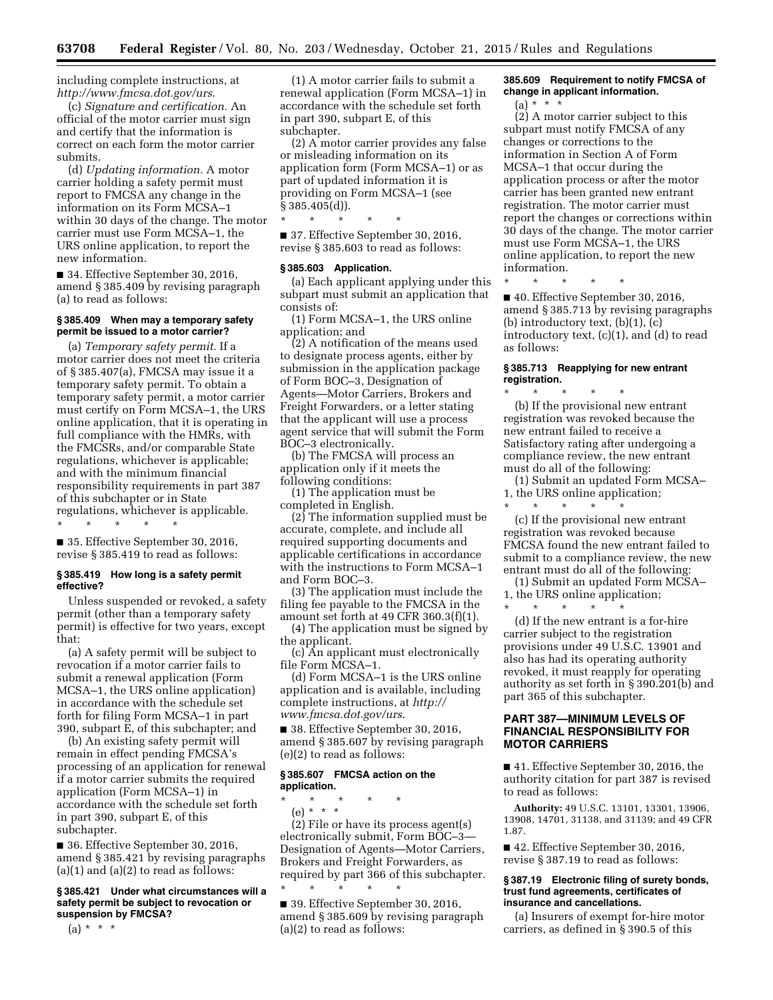including complete instructions, at *<http://www.fmcsa.dot.gov/urs>*.

(c) *Signature and certification.* An official of the motor carrier must sign and certify that the information is correct on each form the motor carrier submits.

(d) *Updating information.* A motor carrier holding a safety permit must report to FMCSA any change in the information on its Form MCSA–1 within 30 days of the change. The motor carrier must use Form MCSA–1, the URS online application, to report the new information.

■ 34. Effective September 30, 2016, amend § 385.409 by revising paragraph (a) to read as follows:

# **§ 385.409 When may a temporary safety permit be issued to a motor carrier?**

(a) *Temporary safety permit.* If a motor carrier does not meet the criteria of § 385.407(a), FMCSA may issue it a temporary safety permit. To obtain a temporary safety permit, a motor carrier must certify on Form MCSA–1, the URS online application, that it is operating in full compliance with the HMRs, with the FMCSRs, and/or comparable State regulations, whichever is applicable; and with the minimum financial responsibility requirements in part 387 of this subchapter or in State regulations, whichever is applicable.

\* \* \* \* \* ■ 35. Effective September 30, 2016, revise § 385.419 to read as follows:

#### **§ 385.419 How long is a safety permit effective?**

Unless suspended or revoked, a safety permit (other than a temporary safety permit) is effective for two years, except that:

(a) A safety permit will be subject to revocation if a motor carrier fails to submit a renewal application (Form MCSA–1, the URS online application) in accordance with the schedule set forth for filing Form MCSA–1 in part 390, subpart E, of this subchapter; and

(b) An existing safety permit will remain in effect pending FMCSA's processing of an application for renewal if a motor carrier submits the required application (Form MCSA–1) in accordance with the schedule set forth in part 390, subpart E, of this subchapter.

■ 36. Effective September 30, 2016, amend § 385.421 by revising paragraphs  $(a)(1)$  and  $(a)(2)$  to read as follows:

## **§ 385.421 Under what circumstances will a safety permit be subject to revocation or suspension by FMCSA?**

 $(a) * * * *$ 

(1) A motor carrier fails to submit a renewal application (Form MCSA–1) in accordance with the schedule set forth in part 390, subpart E, of this subchapter.

(2) A motor carrier provides any false or misleading information on its application form (Form MCSA–1) or as part of updated information it is providing on Form MCSA–1 (see § 385.405(d)).

\* \* \* \* \* ■ 37. Effective September 30, 2016, revise § 385.603 to read as follows:

#### **§ 385.603 Application.**

(a) Each applicant applying under this subpart must submit an application that consists of:

(1) Form MCSA–1, the URS online application; and

(2) A notification of the means used to designate process agents, either by submission in the application package of Form BOC–3, Designation of Agents—Motor Carriers, Brokers and Freight Forwarders, or a letter stating that the applicant will use a process agent service that will submit the Form BOC–3 electronically.

(b) The FMCSA will process an application only if it meets the following conditions:

(1) The application must be completed in English.

(2) The information supplied must be accurate, complete, and include all required supporting documents and applicable certifications in accordance with the instructions to Form MCSA–1 and Form BOC–3.

(3) The application must include the filing fee payable to the FMCSA in the amount set forth at 49 CFR 360.3(f)(1).

(4) The application must be signed by the applicant.

(c) An applicant must electronically file Form MCSA–1.

(d) Form MCSA–1 is the URS online application and is available, including complete instructions, at *[http://](http://www.fmcsa.dot.gov/urs) [www.fmcsa.dot.gov/urs](http://www.fmcsa.dot.gov/urs)*.

■ 38. Effective September 30, 2016, amend § 385.607 by revising paragraph (e)(2) to read as follows:

# **§ 385.607 FMCSA action on the application.**

\* \* \* \* \*

(e) \* \* \*

(2) File or have its process agent(s) electronically submit, Form BOC–3— Designation of Agents—Motor Carriers, Brokers and Freight Forwarders, as required by part 366 of this subchapter. \* \* \* \* \*

■ 39. Effective September 30, 2016, amend § 385.609 by revising paragraph (a)(2) to read as follows:

# **385.609 Requirement to notify FMCSA of change in applicant information.**

(a) \* \* \*

 $(2)$  A motor carrier subject to this subpart must notify FMCSA of any changes or corrections to the information in Section A of Form MCSA–1 that occur during the application process or after the motor carrier has been granted new entrant registration. The motor carrier must report the changes or corrections within 30 days of the change. The motor carrier must use Form MCSA–1, the URS online application, to report the new information.

■ 40. Effective September 30, 2016, amend § 385.713 by revising paragraphs (b) introductory text, (b)(1), (c) introductory text, (c)(1), and (d) to read as follows:

# **§ 385.713 Reapplying for new entrant registration.**

\* \* \* \* \*

\* \* \* \* \* (b) If the provisional new entrant registration was revoked because the new entrant failed to receive a Satisfactory rating after undergoing a compliance review, the new entrant must do all of the following:

(1) Submit an updated Form MCSA– 1, the URS online application;

\* \* \* \* \* (c) If the provisional new entrant registration was revoked because FMCSA found the new entrant failed to submit to a compliance review, the new entrant must do all of the following:

(1) Submit an updated Form MCSA– 1, the URS online application; \* \* \* \* \*

(d) If the new entrant is a for-hire carrier subject to the registration provisions under 49 U.S.C. 13901 and also has had its operating authority revoked, it must reapply for operating authority as set forth in § 390.201(b) and part 365 of this subchapter.

# **PART 387—MINIMUM LEVELS OF FINANCIAL RESPONSIBILITY FOR MOTOR CARRIERS**

■ 41. Effective September 30, 2016, the authority citation for part 387 is revised to read as follows:

**Authority:** 49 U.S.C. 13101, 13301, 13906, 13908, 14701, 31138, and 31139; and 49 CFR 1.87.

■ 42. Effective September 30, 2016, revise § 387.19 to read as follows:

#### **§ 387.19 Electronic filing of surety bonds, trust fund agreements, certificates of insurance and cancellations.**

(a) Insurers of exempt for-hire motor carriers, as defined in § 390.5 of this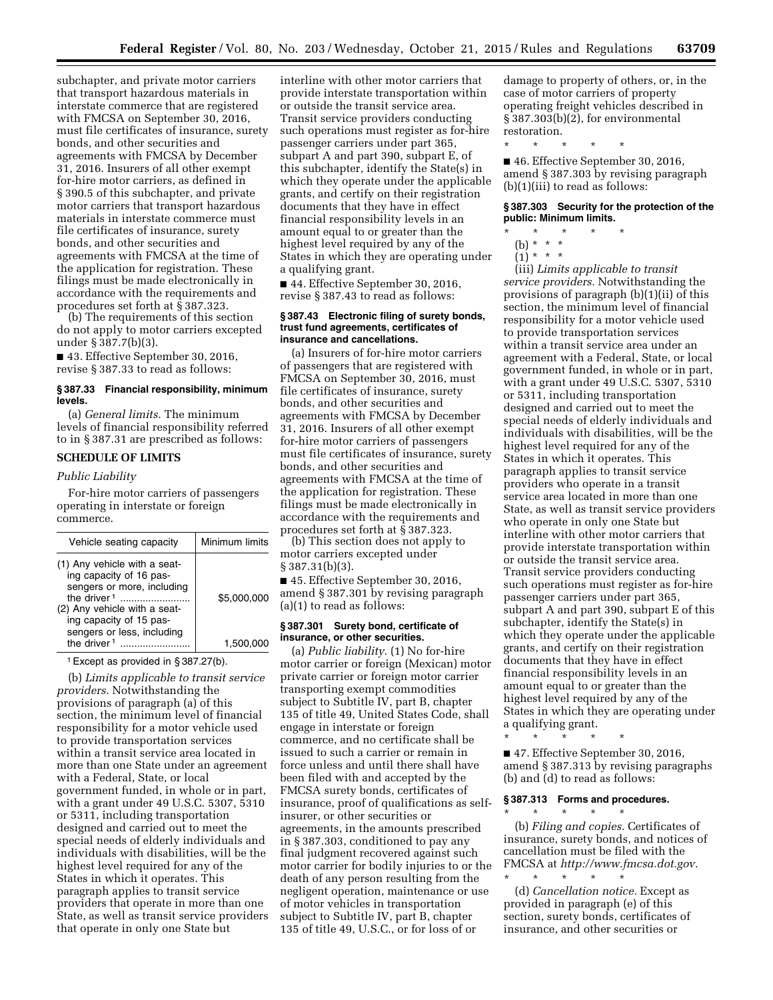subchapter, and private motor carriers that transport hazardous materials in interstate commerce that are registered with FMCSA on September 30, 2016, must file certificates of insurance, surety bonds, and other securities and agreements with FMCSA by December 31, 2016. Insurers of all other exempt for-hire motor carriers, as defined in § 390.5 of this subchapter, and private motor carriers that transport hazardous materials in interstate commerce must file certificates of insurance, surety bonds, and other securities and agreements with FMCSA at the time of the application for registration. These filings must be made electronically in accordance with the requirements and procedures set forth at § 387.323.

(b) The requirements of this section do not apply to motor carriers excepted under § 387.7(b)(3).

■ 43. Effective September 30, 2016, revise § 387.33 to read as follows:

# **§ 387.33 Financial responsibility, minimum levels.**

(a) *General limits.* The minimum levels of financial responsibility referred to in § 387.31 are prescribed as follows:

# **SCHEDULE OF LIMITS**

# *Public Liability*

For-hire motor carriers of passengers operating in interstate or foreign commerce.

| Vehicle seating capacity                                                                                                                                                                                  | Minimum limits           |
|-----------------------------------------------------------------------------------------------------------------------------------------------------------------------------------------------------------|--------------------------|
| (1) Any vehicle with a seat-<br>ing capacity of 16 pas-<br>sengers or more, including<br>(2) Any vehicle with a seat-<br>ing capacity of 15 pas-<br>sengers or less, including<br>the driver <sup>1</sup> | \$5,000,000<br>1.500.000 |

1Except as provided in § 387.27(b).

(b) *Limits applicable to transit service providers.* Notwithstanding the provisions of paragraph (a) of this section, the minimum level of financial responsibility for a motor vehicle used to provide transportation services within a transit service area located in more than one State under an agreement with a Federal, State, or local government funded, in whole or in part, with a grant under 49 U.S.C. 5307, 5310 or 5311, including transportation designed and carried out to meet the special needs of elderly individuals and individuals with disabilities, will be the highest level required for any of the States in which it operates. This paragraph applies to transit service providers that operate in more than one State, as well as transit service providers that operate in only one State but

interline with other motor carriers that provide interstate transportation within or outside the transit service area. Transit service providers conducting such operations must register as for-hire passenger carriers under part 365, subpart A and part 390, subpart E, of this subchapter, identify the State(s) in which they operate under the applicable grants, and certify on their registration documents that they have in effect financial responsibility levels in an amount equal to or greater than the highest level required by any of the States in which they are operating under a qualifying grant.

■ 44. Effective September 30, 2016, revise § 387.43 to read as follows:

### **§ 387.43 Electronic filing of surety bonds, trust fund agreements, certificates of insurance and cancellations.**

(a) Insurers of for-hire motor carriers of passengers that are registered with FMCSA on September 30, 2016, must file certificates of insurance, surety bonds, and other securities and agreements with FMCSA by December 31, 2016. Insurers of all other exempt for-hire motor carriers of passengers must file certificates of insurance, surety bonds, and other securities and agreements with FMCSA at the time of the application for registration. These filings must be made electronically in accordance with the requirements and procedures set forth at § 387.323.

(b) This section does not apply to motor carriers excepted under § 387.31(b)(3).

■ 45. Effective September 30, 2016, amend § 387.301 by revising paragraph (a)(1) to read as follows:

### **§ 387.301 Surety bond, certificate of insurance, or other securities.**

(a) *Public liability.* (1) No for-hire motor carrier or foreign (Mexican) motor private carrier or foreign motor carrier transporting exempt commodities subject to Subtitle IV, part B, chapter 135 of title 49, United States Code, shall engage in interstate or foreign commerce, and no certificate shall be issued to such a carrier or remain in force unless and until there shall have been filed with and accepted by the FMCSA surety bonds, certificates of insurance, proof of qualifications as selfinsurer, or other securities or agreements, in the amounts prescribed in § 387.303, conditioned to pay any final judgment recovered against such motor carrier for bodily injuries to or the death of any person resulting from the negligent operation, maintenance or use of motor vehicles in transportation subject to Subtitle IV, part B, chapter 135 of title 49, U.S.C., or for loss of or

damage to property of others, or, in the case of motor carriers of property operating freight vehicles described in § 387.303(b)(2), for environmental restoration.

\* \* \* \* \*

■ 46. Effective September 30, 2016, amend § 387.303 by revising paragraph (b)(1)(iii) to read as follows:

# **§ 387.303 Security for the protection of the public: Minimum limits.**

- \* \* \* \* \*
- (b) \* \* \*

(1) \* \* \*

(iii) *Limits applicable to transit service providers.* Notwithstanding the provisions of paragraph (b)(1)(ii) of this section, the minimum level of financial responsibility for a motor vehicle used to provide transportation services within a transit service area under an agreement with a Federal, State, or local government funded, in whole or in part, with a grant under 49 U.S.C. 5307, 5310 or 5311, including transportation designed and carried out to meet the special needs of elderly individuals and individuals with disabilities, will be the highest level required for any of the States in which it operates. This paragraph applies to transit service providers who operate in a transit service area located in more than one State, as well as transit service providers who operate in only one State but interline with other motor carriers that provide interstate transportation within or outside the transit service area. Transit service providers conducting such operations must register as for-hire passenger carriers under part 365, subpart A and part 390, subpart E of this subchapter, identify the State(s) in which they operate under the applicable grants, and certify on their registration documents that they have in effect financial responsibility levels in an amount equal to or greater than the highest level required by any of the States in which they are operating under a qualifying grant.

\* \* \* \* \*

■ 47. Effective September 30, 2016, amend § 387.313 by revising paragraphs (b) and (d) to read as follows:

## **§ 387.313 Forms and procedures.**

\* \* \* \* \* (b) *Filing and copies.* Certificates of insurance, surety bonds, and notices of cancellation must be filed with the FMCSA at *[http://www.fmcsa.dot.gov.](http://www.fmcsa.dot.gov)*  \* \* \* \* \*

(d) *Cancellation notice.* Except as provided in paragraph (e) of this section, surety bonds, certificates of insurance, and other securities or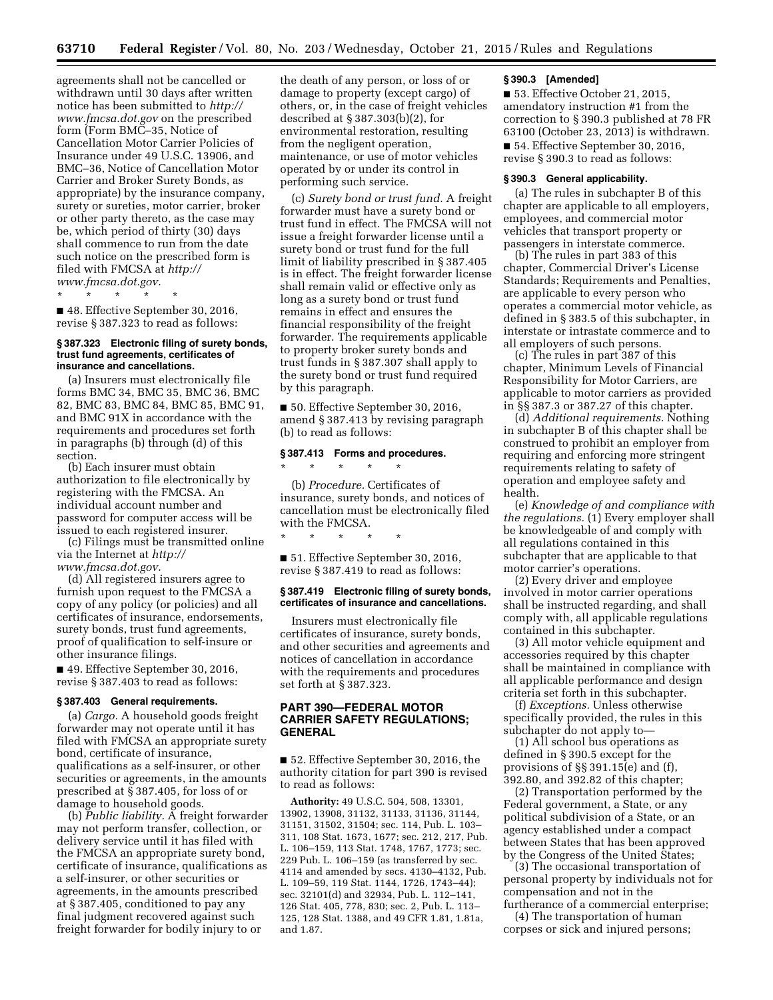agreements shall not be cancelled or withdrawn until 30 days after written notice has been submitted to *[http://](http://www.fmcsa.dot.gov) [www.fmcsa.dot.gov](http://www.fmcsa.dot.gov)* on the prescribed form (Form BMC–35, Notice of Cancellation Motor Carrier Policies of Insurance under 49 U.S.C. 13906, and BMC–36, Notice of Cancellation Motor Carrier and Broker Surety Bonds, as appropriate) by the insurance company, surety or sureties, motor carrier, broker or other party thereto, as the case may be, which period of thirty (30) days shall commence to run from the date such notice on the prescribed form is filed with FMCSA at *[http://](http://www.fmcsa.dot.gov) [www.fmcsa.dot.gov.](http://www.fmcsa.dot.gov)* 

\* \* \* \* \*

■ 48. Effective September 30, 2016, revise § 387.323 to read as follows:

#### **§ 387.323 Electronic filing of surety bonds, trust fund agreements, certificates of insurance and cancellations.**

(a) Insurers must electronically file forms BMC 34, BMC 35, BMC 36, BMC 82, BMC 83, BMC 84, BMC 85, BMC 91, and BMC 91X in accordance with the requirements and procedures set forth in paragraphs (b) through (d) of this section.

(b) Each insurer must obtain authorization to file electronically by registering with the FMCSA. An individual account number and password for computer access will be issued to each registered insurer.

(c) Filings must be transmitted online via the Internet at *[http://](http://www.fmcsa.dot.gov) [www.fmcsa.dot.gov.](http://www.fmcsa.dot.gov)* 

(d) All registered insurers agree to furnish upon request to the FMCSA a copy of any policy (or policies) and all certificates of insurance, endorsements, surety bonds, trust fund agreements, proof of qualification to self-insure or other insurance filings.

■ 49. Effective September 30, 2016, revise § 387.403 to read as follows:

#### **§ 387.403 General requirements.**

(a) *Cargo.* A household goods freight forwarder may not operate until it has filed with FMCSA an appropriate surety bond, certificate of insurance, qualifications as a self-insurer, or other securities or agreements, in the amounts prescribed at § 387.405, for loss of or damage to household goods.

(b) *Public liability.* A freight forwarder may not perform transfer, collection, or delivery service until it has filed with the FMCSA an appropriate surety bond, certificate of insurance, qualifications as a self-insurer, or other securities or agreements, in the amounts prescribed at § 387.405, conditioned to pay any final judgment recovered against such freight forwarder for bodily injury to or

the death of any person, or loss of or damage to property (except cargo) of others, or, in the case of freight vehicles described at § 387.303(b)(2), for environmental restoration, resulting from the negligent operation, maintenance, or use of motor vehicles operated by or under its control in performing such service.

(c) *Surety bond or trust fund.* A freight forwarder must have a surety bond or trust fund in effect. The FMCSA will not issue a freight forwarder license until a surety bond or trust fund for the full limit of liability prescribed in § 387.405 is in effect. The freight forwarder license shall remain valid or effective only as long as a surety bond or trust fund remains in effect and ensures the financial responsibility of the freight forwarder. The requirements applicable to property broker surety bonds and trust funds in § 387.307 shall apply to the surety bond or trust fund required by this paragraph.

■ 50. Effective September 30, 2016, amend § 387.413 by revising paragraph (b) to read as follows:

### **§ 387.413 Forms and procedures.**

\* \* \* \* \* (b) *Procedure.* Certificates of insurance, surety bonds, and notices of cancellation must be electronically filed with the FMCSA.

\* \* \* \* \* ■ 51. Effective September 30, 2016, revise § 387.419 to read as follows:

## **§ 387.419 Electronic filing of surety bonds, certificates of insurance and cancellations.**

Insurers must electronically file certificates of insurance, surety bonds, and other securities and agreements and notices of cancellation in accordance with the requirements and procedures set forth at § 387.323.

# **PART 390—FEDERAL MOTOR CARRIER SAFETY REGULATIONS; GENERAL**

■ 52. Effective September 30, 2016, the authority citation for part 390 is revised to read as follows:

**Authority:** 49 U.S.C. 504, 508, 13301, 13902, 13908, 31132, 31133, 31136, 31144, 31151, 31502, 31504; sec. 114, Pub. L. 103– 311, 108 Stat. 1673, 1677; sec. 212, 217, Pub. L. 106–159, 113 Stat. 1748, 1767, 1773; sec. 229 Pub. L. 106–159 (as transferred by sec. 4114 and amended by secs. 4130–4132, Pub. L. 109–59, 119 Stat. 1144, 1726, 1743–44); sec. 32101(d) and 32934, Pub. L. 112–141, 126 Stat. 405, 778, 830; sec. 2, Pub. L. 113– 125, 128 Stat. 1388, and 49 CFR 1.81, 1.81a, and 1.87.

### **§ 390.3 [Amended]**

■ 53. Effective October 21, 2015, amendatory instruction #1 from the correction to § 390.3 published at 78 FR 63100 (October 23, 2013) is withdrawn.

■ 54. Effective September 30, 2016, revise § 390.3 to read as follows:

### **§ 390.3 General applicability.**

(a) The rules in subchapter B of this chapter are applicable to all employers, employees, and commercial motor vehicles that transport property or passengers in interstate commerce.

(b) The rules in part 383 of this chapter, Commercial Driver's License Standards; Requirements and Penalties, are applicable to every person who operates a commercial motor vehicle, as defined in § 383.5 of this subchapter, in interstate or intrastate commerce and to all employers of such persons.

(c) The rules in part 387 of this chapter, Minimum Levels of Financial Responsibility for Motor Carriers, are applicable to motor carriers as provided in §§ 387.3 or 387.27 of this chapter.

(d) *Additional requirements.* Nothing in subchapter B of this chapter shall be construed to prohibit an employer from requiring and enforcing more stringent requirements relating to safety of operation and employee safety and health.

(e) *Knowledge of and compliance with the regulations.* (1) Every employer shall be knowledgeable of and comply with all regulations contained in this subchapter that are applicable to that motor carrier's operations.

(2) Every driver and employee involved in motor carrier operations shall be instructed regarding, and shall comply with, all applicable regulations contained in this subchapter.

(3) All motor vehicle equipment and accessories required by this chapter shall be maintained in compliance with all applicable performance and design criteria set forth in this subchapter.

(f) *Exceptions.* Unless otherwise specifically provided, the rules in this subchapter do not apply to—

(1) All school bus operations as defined in § 390.5 except for the provisions of §§ 391.15(e) and (f), 392.80, and 392.82 of this chapter;

(2) Transportation performed by the Federal government, a State, or any political subdivision of a State, or an agency established under a compact between States that has been approved by the Congress of the United States;

(3) The occasional transportation of personal property by individuals not for compensation and not in the furtherance of a commercial enterprise;

(4) The transportation of human corpses or sick and injured persons;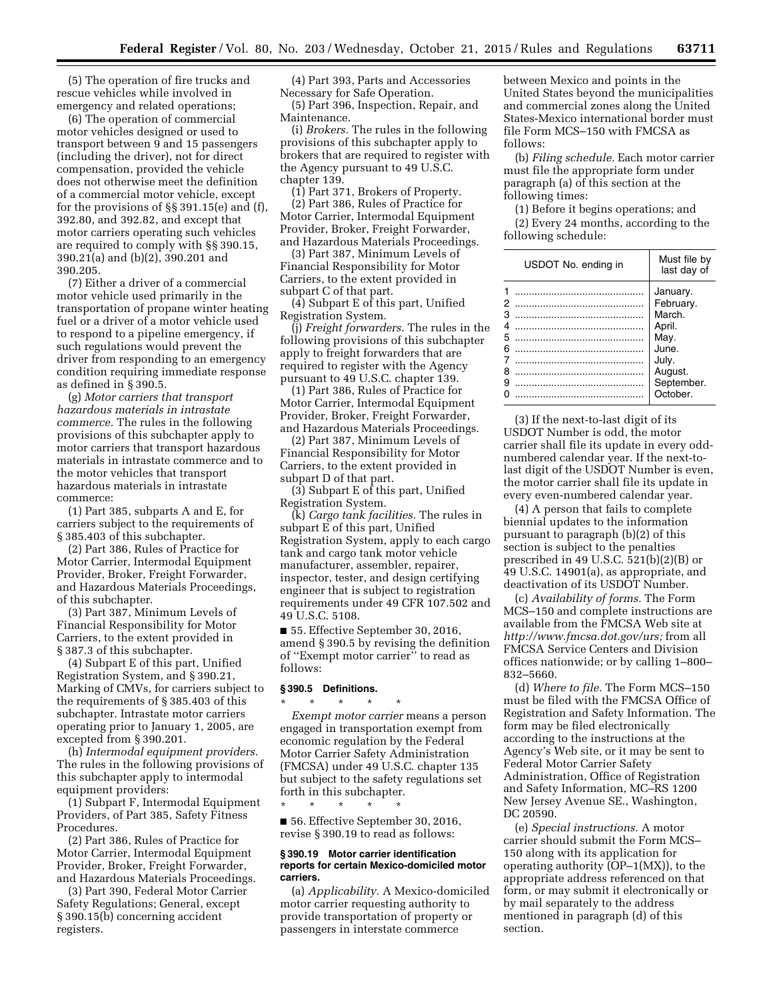(5) The operation of fire trucks and rescue vehicles while involved in emergency and related operations;

(6) The operation of commercial motor vehicles designed or used to transport between 9 and 15 passengers (including the driver), not for direct compensation, provided the vehicle does not otherwise meet the definition of a commercial motor vehicle, except for the provisions of §§ 391.15(e) and (f), 392.80, and 392.82, and except that motor carriers operating such vehicles are required to comply with §§ 390.15, 390.21(a) and (b)(2), 390.201 and 390.205.

(7) Either a driver of a commercial motor vehicle used primarily in the transportation of propane winter heating fuel or a driver of a motor vehicle used to respond to a pipeline emergency, if such regulations would prevent the driver from responding to an emergency condition requiring immediate response as defined in § 390.5.

(g) *Motor carriers that transport hazardous materials in intrastate commerce.* The rules in the following provisions of this subchapter apply to motor carriers that transport hazardous materials in intrastate commerce and to the motor vehicles that transport hazardous materials in intrastate commerce:

(1) Part 385, subparts A and E, for carriers subject to the requirements of § 385.403 of this subchapter.

(2) Part 386, Rules of Practice for Motor Carrier, Intermodal Equipment Provider, Broker, Freight Forwarder, and Hazardous Materials Proceedings, of this subchapter.

(3) Part 387, Minimum Levels of Financial Responsibility for Motor Carriers, to the extent provided in § 387.3 of this subchapter.

(4) Subpart E of this part, Unified Registration System, and § 390.21, Marking of CMVs, for carriers subject to the requirements of § 385.403 of this subchapter. Intrastate motor carriers operating prior to January 1, 2005, are excepted from § 390.201.

(h) *Intermodal equipment providers.*  The rules in the following provisions of this subchapter apply to intermodal equipment providers:

(1) Subpart F, Intermodal Equipment Providers, of Part 385, Safety Fitness Procedures.

(2) Part 386, Rules of Practice for Motor Carrier, Intermodal Equipment Provider, Broker, Freight Forwarder, and Hazardous Materials Proceedings.

(3) Part 390, Federal Motor Carrier Safety Regulations; General, except § 390.15(b) concerning accident registers.

(4) Part 393, Parts and Accessories Necessary for Safe Operation.

(5) Part 396, Inspection, Repair, and Maintenance.

(i) *Brokers.* The rules in the following provisions of this subchapter apply to brokers that are required to register with the Agency pursuant to 49 U.S.C. chapter 139.

(1) Part 371, Brokers of Property. (2) Part 386, Rules of Practice for Motor Carrier, Intermodal Equipment Provider, Broker, Freight Forwarder, and Hazardous Materials Proceedings.

(3) Part 387, Minimum Levels of Financial Responsibility for Motor Carriers, to the extent provided in subpart C of that part.

(4) Subpart E of this part, Unified Registration System.

(j) *Freight forwarders.* The rules in the following provisions of this subchapter apply to freight forwarders that are required to register with the Agency pursuant to 49 U.S.C. chapter 139.

(1) Part 386, Rules of Practice for Motor Carrier, Intermodal Equipment Provider, Broker, Freight Forwarder, and Hazardous Materials Proceedings.

(2) Part 387, Minimum Levels of Financial Responsibility for Motor Carriers, to the extent provided in subpart D of that part.

(3) Subpart E of this part, Unified Registration System.

(k) *Cargo tank facilities.* The rules in subpart E of this part, Unified Registration System, apply to each cargo tank and cargo tank motor vehicle manufacturer, assembler, repairer, inspector, tester, and design certifying engineer that is subject to registration requirements under 49 CFR 107.502 and 49 U.S.C. 5108.

■ 55. Effective September 30, 2016, amend § 390.5 by revising the definition of ''Exempt motor carrier'' to read as follows:

### **§ 390.5 Definitions.**

\* \* \* \* \* *Exempt motor carrier* means a person engaged in transportation exempt from economic regulation by the Federal Motor Carrier Safety Administration (FMCSA) under 49 U.S.C. chapter 135 but subject to the safety regulations set forth in this subchapter.

■ 56. Effective September 30, 2016, revise § 390.19 to read as follows:

\* \* \* \* \*

### **§ 390.19 Motor carrier identification reports for certain Mexico-domiciled motor carriers.**

(a) *Applicability.* A Mexico-domiciled motor carrier requesting authority to provide transportation of property or passengers in interstate commerce

between Mexico and points in the United States beyond the municipalities and commercial zones along the United States-Mexico international border must file Form MCS–150 with FMCSA as follows:

(b) *Filing schedule.* Each motor carrier must file the appropriate form under paragraph (a) of this section at the following times:

(1) Before it begins operations; and (2) Every 24 months, according to the following schedule:

| USDOT No. ending in                  | Must file by<br>last day of                                                                              |
|--------------------------------------|----------------------------------------------------------------------------------------------------------|
| 2<br>з<br>4<br>5<br>6<br>7<br>8<br>9 | January.<br>February.<br>March.<br>April.<br>May.<br>June.<br>July.<br>August.<br>September.<br>October. |

(3) If the next-to-last digit of its USDOT Number is odd, the motor carrier shall file its update in every oddnumbered calendar year. If the next-tolast digit of the USDOT Number is even, the motor carrier shall file its update in every even-numbered calendar year.

(4) A person that fails to complete biennial updates to the information pursuant to paragraph (b)(2) of this section is subject to the penalties prescribed in 49 U.S.C. 521(b)(2)(B) or 49 U.S.C. 14901(a), as appropriate, and deactivation of its USDOT Number.

(c) *Availability of forms.* The Form MCS–150 and complete instructions are available from the FMCSA Web site at *[http://www.fmcsa.dot.gov/urs;](http://www.fmcsa.dot.gov/urs)* from all FMCSA Service Centers and Division offices nationwide; or by calling 1–800– 832–5660.

(d) *Where to file.* The Form MCS–150 must be filed with the FMCSA Office of Registration and Safety Information. The form may be filed electronically according to the instructions at the Agency's Web site, or it may be sent to Federal Motor Carrier Safety Administration, Office of Registration and Safety Information, MC–RS 1200 New Jersey Avenue SE., Washington, DC 20590.

(e) *Special instructions.* A motor carrier should submit the Form MCS– 150 along with its application for operating authority (OP–1(MX)), to the appropriate address referenced on that form, or may submit it electronically or by mail separately to the address mentioned in paragraph (d) of this section.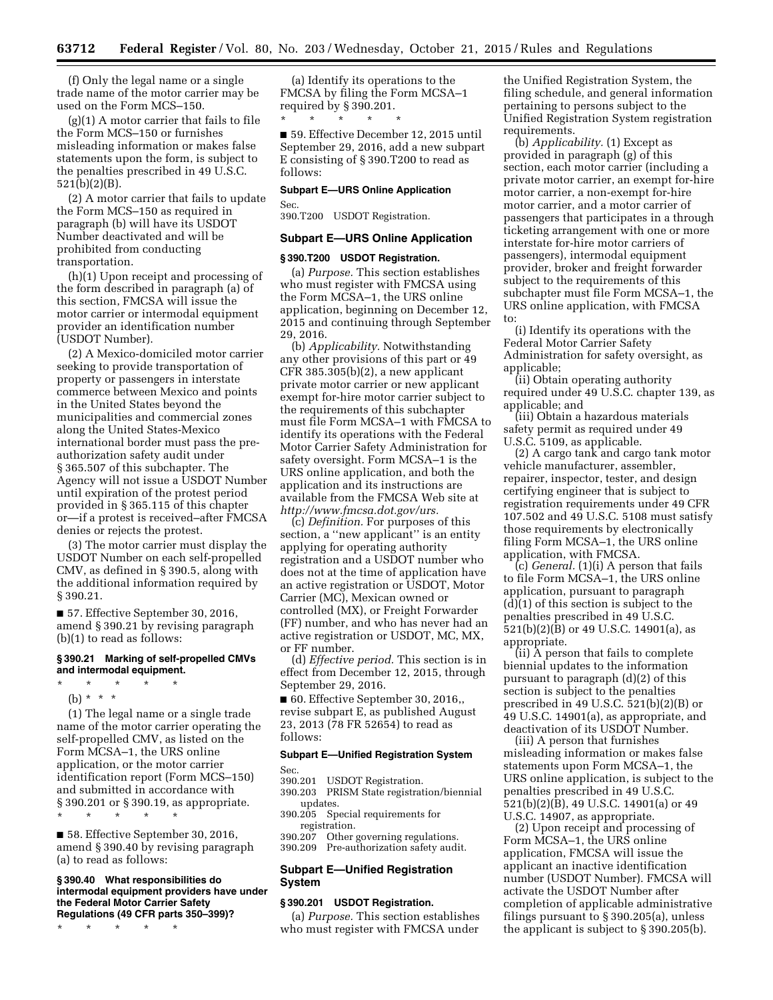(f) Only the legal name or a single trade name of the motor carrier may be used on the Form MCS–150.

(g)(1) A motor carrier that fails to file the Form MCS–150 or furnishes misleading information or makes false statements upon the form, is subject to the penalties prescribed in 49 U.S.C. 521(b)(2)(B).

(2) A motor carrier that fails to update the Form MCS–150 as required in paragraph (b) will have its USDOT Number deactivated and will be prohibited from conducting transportation.

(h)(1) Upon receipt and processing of the form described in paragraph (a) of this section, FMCSA will issue the motor carrier or intermodal equipment provider an identification number (USDOT Number).

(2) A Mexico-domiciled motor carrier seeking to provide transportation of property or passengers in interstate commerce between Mexico and points in the United States beyond the municipalities and commercial zones along the United States-Mexico international border must pass the preauthorization safety audit under § 365.507 of this subchapter. The Agency will not issue a USDOT Number until expiration of the protest period provided in § 365.115 of this chapter or—if a protest is received–after FMCSA denies or rejects the protest.

(3) The motor carrier must display the USDOT Number on each self-propelled CMV, as defined in § 390.5, along with the additional information required by § 390.21.

■ 57. Effective September 30, 2016, amend § 390.21 by revising paragraph (b)(1) to read as follows:

### **§ 390.21 Marking of self-propelled CMVs and intermodal equipment.**

- \* \* \* \* \*
- (b) \* \* \*

(1) The legal name or a single trade name of the motor carrier operating the self-propelled CMV, as listed on the Form MCSA–1, the URS online application, or the motor carrier identification report (Form MCS–150) and submitted in accordance with § 390.201 or § 390.19, as appropriate.

\* \* \* \* \*

■ 58. Effective September 30, 2016, amend § 390.40 by revising paragraph (a) to read as follows:

**§ 390.40 What responsibilities do intermodal equipment providers have under the Federal Motor Carrier Safety Regulations (49 CFR parts 350–399)?** 

\* \* \* \* \*

(a) Identify its operations to the FMCSA by filing the Form MCSA–1 required by § 390.201. \* \* \* \* \*

■ 59. Effective December 12, 2015 until September 29, 2016, add a new subpart E consisting of § 390.T200 to read as follows:

# **Subpart E—URS Online Application**  Sec.

390.T200 USDOT Registration.

# **Subpart E—URS Online Application**

#### **§ 390.T200 USDOT Registration.**

(a) *Purpose.* This section establishes who must register with FMCSA using the Form MCSA–1, the URS online application, beginning on December 12, 2015 and continuing through September 29, 2016.

(b) *Applicability.* Notwithstanding any other provisions of this part or 49 CFR 385.305(b)(2), a new applicant private motor carrier or new applicant exempt for-hire motor carrier subject to the requirements of this subchapter must file Form MCSA–1 with FMCSA to identify its operations with the Federal Motor Carrier Safety Administration for safety oversight. Form MCSA–1 is the URS online application, and both the application and its instructions are available from the FMCSA Web site at *[http://www.fmcsa.dot.gov/urs.](http://www.fmcsa.dot.gov/urs)* 

(c) *Definition.* For purposes of this section, a ''new applicant'' is an entity applying for operating authority registration and a USDOT number who does not at the time of application have an active registration or USDOT, Motor Carrier (MC), Mexican owned or controlled (MX), or Freight Forwarder (FF) number, and who has never had an active registration or USDOT, MC, MX, or FF number.

(d) *Effective period.* This section is in effect from December 12, 2015, through September 29, 2016.

■ 60. Effective September 30, 2016,, revise subpart E, as published August 23, 2013 (78 FR 52654) to read as follows:

# **Subpart E—Unified Registration System**  Sec.

- 390.201 USDOT Registration.<br>390.203 PRISM State registrat PRISM State registration/biennial updates.
- 390.205 Special requirements for registration.<br>390.207 Other
- Other governing regulations.
- 390.209 Pre-authorization safety audit.

# **Subpart E—Unified Registration System**

# **§ 390.201 USDOT Registration.**

(a) *Purpose.* This section establishes who must register with FMCSA under

the Unified Registration System, the filing schedule, and general information pertaining to persons subject to the Unified Registration System registration requirements.

(b) *Applicability.* (1) Except as provided in paragraph (g) of this section, each motor carrier (including a private motor carrier, an exempt for-hire motor carrier, a non-exempt for-hire motor carrier, and a motor carrier of passengers that participates in a through ticketing arrangement with one or more interstate for-hire motor carriers of passengers), intermodal equipment provider, broker and freight forwarder subject to the requirements of this subchapter must file Form MCSA–1, the URS online application, with FMCSA to:

(i) Identify its operations with the Federal Motor Carrier Safety Administration for safety oversight, as applicable;

(ii) Obtain operating authority required under 49 U.S.C. chapter 139, as applicable; and

(iii) Obtain a hazardous materials safety permit as required under 49 U.S.C. 5109, as applicable.

(2) A cargo tank and cargo tank motor vehicle manufacturer, assembler, repairer, inspector, tester, and design certifying engineer that is subject to registration requirements under 49 CFR 107.502 and 49 U.S.C. 5108 must satisfy those requirements by electronically filing Form MCSA–1, the URS online application, with FMCSA.

(c) *General.* (1)(i) A person that fails to file Form MCSA–1, the URS online application, pursuant to paragraph (d)(1) of this section is subject to the penalties prescribed in 49 U.S.C. 521(b)(2)(B) or 49 U.S.C. 14901(a), as appropriate.

(ii) A person that fails to complete biennial updates to the information pursuant to paragraph (d)(2) of this section is subject to the penalties prescribed in 49 U.S.C.  $\overline{5}21(b)(2)(B)$  or 49 U.S.C. 14901(a), as appropriate, and deactivation of its USDOT Number.

(iii) A person that furnishes misleading information or makes false statements upon Form MCSA–1, the URS online application, is subject to the penalties prescribed in 49 U.S.C. 521(b)(2)(B), 49 U.S.C. 14901(a) or 49 U.S.C. 14907, as appropriate.

(2) Upon receipt and processing of Form MCSA–1, the URS online application, FMCSA will issue the applicant an inactive identification number (USDOT Number). FMCSA will activate the USDOT Number after completion of applicable administrative filings pursuant to § 390.205(a), unless the applicant is subject to § 390.205(b).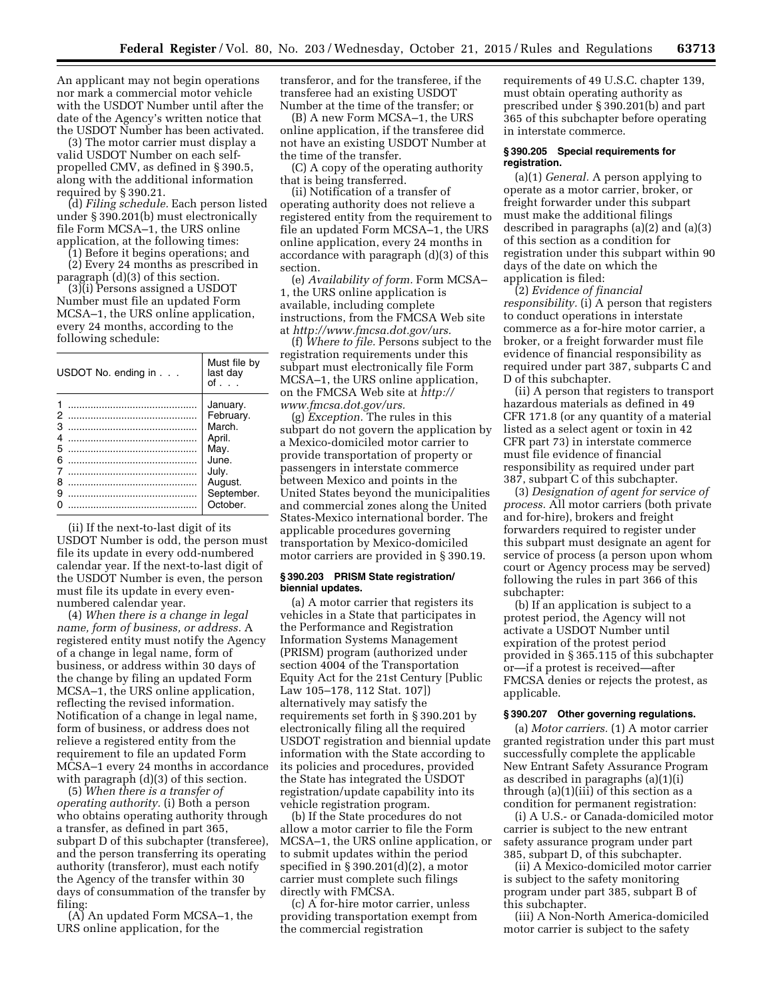An applicant may not begin operations nor mark a commercial motor vehicle with the USDOT Number until after the date of the Agency's written notice that the USDOT Number has been activated.

(3) The motor carrier must display a valid USDOT Number on each selfpropelled CMV, as defined in § 390.5, along with the additional information required by § 390.21.

(d) *Filing schedule.* Each person listed under § 390.201(b) must electronically file Form MCSA–1, the URS online application, at the following times:

(1) Before it begins operations; and

(2) Every 24 months as prescribed in paragraph (d)(3) of this section.

(3)(i) Persons assigned a USDOT Number must file an updated Form MCSA–1, the URS online application, every 24 months, according to the following schedule:

| USDOT No. ending in             | Must file by<br>last day<br>$of \frown$                                                                  |
|---------------------------------|----------------------------------------------------------------------------------------------------------|
| 2<br>з<br>4<br>5<br>6<br>8<br>9 | January.<br>February.<br>March.<br>April.<br>May.<br>June.<br>July.<br>August.<br>September.<br>October. |

(ii) If the next-to-last digit of its USDOT Number is odd, the person must file its update in every odd-numbered calendar year. If the next-to-last digit of the USDOT Number is even, the person must file its update in every evennumbered calendar year.

(4) *When there is a change in legal name, form of business, or address.* A registered entity must notify the Agency of a change in legal name, form of business, or address within 30 days of the change by filing an updated Form MCSA–1, the URS online application, reflecting the revised information. Notification of a change in legal name, form of business, or address does not relieve a registered entity from the requirement to file an updated Form MCSA–1 every 24 months in accordance with paragraph (d)(3) of this section.

(5) *When there is a transfer of operating authority.* (i) Both a person who obtains operating authority through a transfer, as defined in part 365, subpart D of this subchapter (transferee), and the person transferring its operating authority (transferor), must each notify the Agency of the transfer within 30 days of consummation of the transfer by filing:

(A) An updated Form MCSA–1, the URS online application, for the

transferor, and for the transferee, if the transferee had an existing USDOT Number at the time of the transfer; or

(B) A new Form MCSA–1, the URS online application, if the transferee did not have an existing USDOT Number at the time of the transfer.

(C) A copy of the operating authority that is being transferred.

(ii) Notification of a transfer of operating authority does not relieve a registered entity from the requirement to file an updated Form MCSA–1, the URS online application, every 24 months in accordance with paragraph (d)(3) of this section.

(e) *Availability of form.* Form MCSA– 1, the URS online application is available, including complete instructions, from the FMCSA Web site at *[http://www.fmcsa.dot.gov/urs.](http://www.fmcsa.dot.gov/urs)* 

(f) *Where to file.* Persons subject to the registration requirements under this subpart must electronically file Form MCSA–1, the URS online application, on the FMCSA Web site at *[http://](http://www.fmcsa.dot.gov/urs) [www.fmcsa.dot.gov/urs.](http://www.fmcsa.dot.gov/urs)* 

(g) *Exception.* The rules in this subpart do not govern the application by a Mexico-domiciled motor carrier to provide transportation of property or passengers in interstate commerce between Mexico and points in the United States beyond the municipalities and commercial zones along the United States-Mexico international border. The applicable procedures governing transportation by Mexico-domiciled motor carriers are provided in § 390.19.

# **§ 390.203 PRISM State registration/ biennial updates.**

(a) A motor carrier that registers its vehicles in a State that participates in the Performance and Registration Information Systems Management (PRISM) program (authorized under section 4004 of the Transportation Equity Act for the 21st Century [Public Law 105–178, 112 Stat. 107]) alternatively may satisfy the requirements set forth in § 390.201 by electronically filing all the required USDOT registration and biennial update information with the State according to its policies and procedures, provided the State has integrated the USDOT registration/update capability into its vehicle registration program.

(b) If the State procedures do not allow a motor carrier to file the Form MCSA–1, the URS online application, or to submit updates within the period specified in § 390.201(d)(2), a motor carrier must complete such filings directly with FMCSA.

(c) A for-hire motor carrier, unless providing transportation exempt from the commercial registration

requirements of 49 U.S.C. chapter 139, must obtain operating authority as prescribed under § 390.201(b) and part 365 of this subchapter before operating in interstate commerce.

## **§ 390.205 Special requirements for registration.**

(a)(1) *General.* A person applying to operate as a motor carrier, broker, or freight forwarder under this subpart must make the additional filings described in paragraphs (a)(2) and (a)(3) of this section as a condition for registration under this subpart within 90 days of the date on which the application is filed:

(2) *Evidence of financial responsibility.* (i) A person that registers to conduct operations in interstate commerce as a for-hire motor carrier, a broker, or a freight forwarder must file evidence of financial responsibility as required under part 387, subparts C and D of this subchapter.

(ii) A person that registers to transport hazardous materials as defined in 49 CFR 171.8 (or any quantity of a material listed as a select agent or toxin in 42 CFR part 73) in interstate commerce must file evidence of financial responsibility as required under part 387, subpart C of this subchapter.

(3) *Designation of agent for service of process.* All motor carriers (both private and for-hire), brokers and freight forwarders required to register under this subpart must designate an agent for service of process (a person upon whom court or Agency process may be served) following the rules in part 366 of this subchapter:

(b) If an application is subject to a protest period, the Agency will not activate a USDOT Number until expiration of the protest period provided in § 365.115 of this subchapter or—if a protest is received—after FMCSA denies or rejects the protest, as applicable.

### **§ 390.207 Other governing regulations.**

(a) *Motor carriers.* (1) A motor carrier granted registration under this part must successfully complete the applicable New Entrant Safety Assurance Program as described in paragraphs (a)(1)(i) through (a)(1)(iii) of this section as a condition for permanent registration:

(i) A U.S.- or Canada-domiciled motor carrier is subject to the new entrant safety assurance program under part 385, subpart D, of this subchapter.

(ii) A Mexico-domiciled motor carrier is subject to the safety monitoring program under part 385, subpart B of this subchapter.

(iii) A Non-North America-domiciled motor carrier is subject to the safety